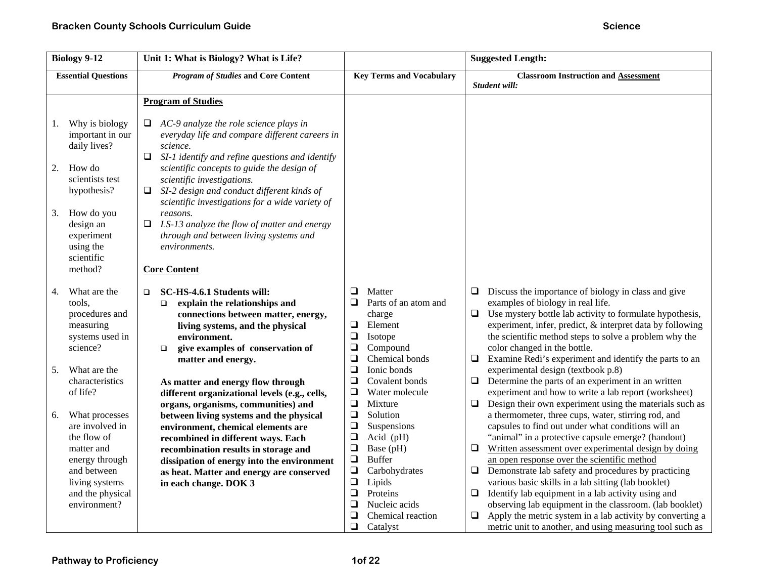| <b>Biology 9-12</b>                                                                                                                                                                  | Unit 1: What is Biology? What is Life?                                                                                                                                                                                                                                                                                                                                                                                                                                              |                                                                                                                                                                                                                                                                      | <b>Suggested Length:</b>                                                                                                                                                                                                                                                                                                                                                                                                                                                                                                                                                                                                                                               |
|--------------------------------------------------------------------------------------------------------------------------------------------------------------------------------------|-------------------------------------------------------------------------------------------------------------------------------------------------------------------------------------------------------------------------------------------------------------------------------------------------------------------------------------------------------------------------------------------------------------------------------------------------------------------------------------|----------------------------------------------------------------------------------------------------------------------------------------------------------------------------------------------------------------------------------------------------------------------|------------------------------------------------------------------------------------------------------------------------------------------------------------------------------------------------------------------------------------------------------------------------------------------------------------------------------------------------------------------------------------------------------------------------------------------------------------------------------------------------------------------------------------------------------------------------------------------------------------------------------------------------------------------------|
| <b>Essential Questions</b>                                                                                                                                                           | <b>Program of Studies and Core Content</b>                                                                                                                                                                                                                                                                                                                                                                                                                                          | <b>Key Terms and Vocabulary</b>                                                                                                                                                                                                                                      | <b>Classroom Instruction and Assessment</b>                                                                                                                                                                                                                                                                                                                                                                                                                                                                                                                                                                                                                            |
|                                                                                                                                                                                      |                                                                                                                                                                                                                                                                                                                                                                                                                                                                                     |                                                                                                                                                                                                                                                                      | Student will:                                                                                                                                                                                                                                                                                                                                                                                                                                                                                                                                                                                                                                                          |
|                                                                                                                                                                                      | <b>Program of Studies</b>                                                                                                                                                                                                                                                                                                                                                                                                                                                           |                                                                                                                                                                                                                                                                      |                                                                                                                                                                                                                                                                                                                                                                                                                                                                                                                                                                                                                                                                        |
| Why is biology<br>1.<br>important in our<br>daily lives?<br>How do<br>2.<br>scientists test<br>hypothesis?<br>How do you<br>3.<br>design an<br>experiment<br>using the<br>scientific | AC-9 analyze the role science plays in<br>$\Box$<br>everyday life and compare different careers in<br>science.<br>SI-1 identify and refine questions and identify<br>❏<br>scientific concepts to guide the design of<br>scientific investigations.<br>SI-2 design and conduct different kinds of<br>⊔<br>scientific investigations for a wide variety of<br>reasons.<br>LS-13 analyze the flow of matter and energy<br>□<br>through and between living systems and<br>environments. |                                                                                                                                                                                                                                                                      |                                                                                                                                                                                                                                                                                                                                                                                                                                                                                                                                                                                                                                                                        |
| method?                                                                                                                                                                              | <b>Core Content</b>                                                                                                                                                                                                                                                                                                                                                                                                                                                                 |                                                                                                                                                                                                                                                                      |                                                                                                                                                                                                                                                                                                                                                                                                                                                                                                                                                                                                                                                                        |
|                                                                                                                                                                                      |                                                                                                                                                                                                                                                                                                                                                                                                                                                                                     |                                                                                                                                                                                                                                                                      |                                                                                                                                                                                                                                                                                                                                                                                                                                                                                                                                                                                                                                                                        |
| What are the<br>4.<br>tools.<br>procedures and<br>measuring<br>systems used in<br>science?                                                                                           | SC-HS-4.6.1 Students will:<br>$\Box$<br>explain the relationships and<br>$\Box$<br>connections between matter, energy,<br>living systems, and the physical<br>environment.<br>give examples of conservation of<br>$\Box$<br>matter and energy.                                                                                                                                                                                                                                      | ❏<br>Matter<br>$\Box$<br>Parts of an atom and<br>charge<br>$\Box$<br>Element<br>$\Box$<br>Isotope<br>$\Box$<br>Compound<br>$\Box$<br>Chemical bonds                                                                                                                  | $\Box$<br>Discuss the importance of biology in class and give<br>examples of biology in real life.<br>Use mystery bottle lab activity to formulate hypothesis,<br>$\Box$<br>experiment, infer, predict, & interpret data by following<br>the scientific method steps to solve a problem why the<br>color changed in the bottle.<br>Examine Redi's experiment and identify the parts to an<br>$\Box$                                                                                                                                                                                                                                                                    |
| What are the<br>5.                                                                                                                                                                   |                                                                                                                                                                                                                                                                                                                                                                                                                                                                                     | $\Box$<br>Ionic bonds                                                                                                                                                                                                                                                | experimental design (textbook p.8)                                                                                                                                                                                                                                                                                                                                                                                                                                                                                                                                                                                                                                     |
| characteristics<br>of life?                                                                                                                                                          | As matter and energy flow through<br>different organizational levels (e.g., cells,<br>organs, organisms, communities) and                                                                                                                                                                                                                                                                                                                                                           | $\Box$<br>Covalent bonds<br>❏<br>Water molecule<br>$\Box$<br>Mixture                                                                                                                                                                                                 | Determine the parts of an experiment in an written<br>$\Box$<br>experiment and how to write a lab report (worksheet)<br>Design their own experiment using the materials such as<br>$\Box$                                                                                                                                                                                                                                                                                                                                                                                                                                                                              |
| What processes<br>6.<br>are involved in<br>the flow of<br>matter and<br>energy through<br>and between<br>living systems<br>and the physical<br>environment?                          | between living systems and the physical<br>environment, chemical elements are<br>recombined in different ways. Each<br>recombination results in storage and<br>dissipation of energy into the environment<br>as heat. Matter and energy are conserved<br>in each change. DOK 3                                                                                                                                                                                                      | $\Box$<br>Solution<br>$\Box$<br>Suspensions<br>$\Box$<br>Acid (pH)<br>$\Box$<br>Base (pH)<br>$\Box$<br><b>Buffer</b><br>$\Box$<br>Carbohydrates<br>$\Box$<br>Lipids<br>$\Box$<br>Proteins<br>$\Box$<br>Nucleic acids<br>❏<br>Chemical reaction<br>$\Box$<br>Catalyst | a thermometer, three cups, water, stirring rod, and<br>capsules to find out under what conditions will an<br>"animal" in a protective capsule emerge? (handout)<br>Written assessment over experimental design by doing<br>$\Box$<br>an open response over the scientific method<br>Demonstrate lab safety and procedures by practicing<br>$\Box$<br>various basic skills in a lab sitting (lab booklet)<br>Identify lab equipment in a lab activity using and<br>$\Box$<br>observing lab equipment in the classroom. (lab booklet)<br>Apply the metric system in a lab activity by converting a<br>$\Box$<br>metric unit to another, and using measuring tool such as |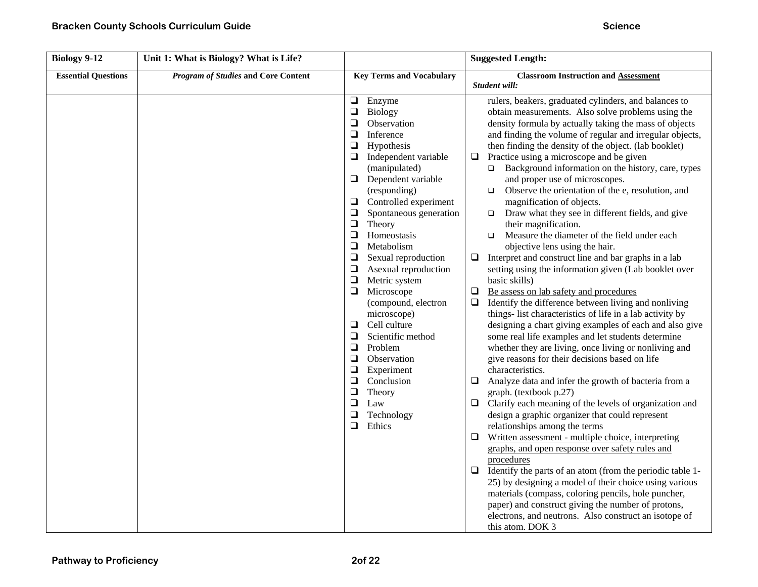| <b>Biology 9-12</b>        | Unit 1: What is Biology? What is Life?     |                                                                                                                                                                                                                                                                                                                                                                                                                                                                                                                                                                                                                                                                                                                                              | <b>Suggested Length:</b>                                                                                                                                                                                                                                                                                                                                                                                                                                                                                                                                                                                                                                                                                                                                                                                                                                                                                                                                                                                                                                                                                                                                                                                                                                                                                                                                                                                                                                                                                                                                                                                                                                                                                                                                                                                                                                                                                                                                                                                              |
|----------------------------|--------------------------------------------|----------------------------------------------------------------------------------------------------------------------------------------------------------------------------------------------------------------------------------------------------------------------------------------------------------------------------------------------------------------------------------------------------------------------------------------------------------------------------------------------------------------------------------------------------------------------------------------------------------------------------------------------------------------------------------------------------------------------------------------------|-----------------------------------------------------------------------------------------------------------------------------------------------------------------------------------------------------------------------------------------------------------------------------------------------------------------------------------------------------------------------------------------------------------------------------------------------------------------------------------------------------------------------------------------------------------------------------------------------------------------------------------------------------------------------------------------------------------------------------------------------------------------------------------------------------------------------------------------------------------------------------------------------------------------------------------------------------------------------------------------------------------------------------------------------------------------------------------------------------------------------------------------------------------------------------------------------------------------------------------------------------------------------------------------------------------------------------------------------------------------------------------------------------------------------------------------------------------------------------------------------------------------------------------------------------------------------------------------------------------------------------------------------------------------------------------------------------------------------------------------------------------------------------------------------------------------------------------------------------------------------------------------------------------------------------------------------------------------------------------------------------------------------|
| <b>Essential Questions</b> | <b>Program of Studies and Core Content</b> | <b>Key Terms and Vocabulary</b>                                                                                                                                                                                                                                                                                                                                                                                                                                                                                                                                                                                                                                                                                                              | <b>Classroom Instruction and Assessment</b><br>Student will:                                                                                                                                                                                                                                                                                                                                                                                                                                                                                                                                                                                                                                                                                                                                                                                                                                                                                                                                                                                                                                                                                                                                                                                                                                                                                                                                                                                                                                                                                                                                                                                                                                                                                                                                                                                                                                                                                                                                                          |
|                            |                                            | $\Box$<br>Enzyme<br>$\Box$<br>Biology<br>$\Box$<br>Observation<br>$\Box$<br>Inference<br>$\Box$<br>Hypothesis<br>Independent variable<br>$\Box$<br>(manipulated)<br>Dependent variable<br>$\Box$<br>(responding)<br>$\Box$<br>Controlled experiment<br>$\Box$<br>Spontaneous generation<br>$\Box$<br>Theory<br>$\Box$<br>Homeostasis<br>$\Box$<br>Metabolism<br>❏<br>Sexual reproduction<br>$\Box$<br>Asexual reproduction<br>$\Box$<br>Metric system<br>$\Box$<br>Microscope<br>(compound, electron<br>microscope)<br>$\Box$<br>Cell culture<br>$\Box$<br>Scientific method<br>Problem<br>$\Box$<br>$\Box$<br>Observation<br>$\Box$<br>Experiment<br>$\Box$<br>Conclusion<br>❏<br>Theory<br>$\Box$<br>Law<br>❏<br>Technology<br>❏<br>Ethics | rulers, beakers, graduated cylinders, and balances to<br>obtain measurements. Also solve problems using the<br>density formula by actually taking the mass of objects<br>and finding the volume of regular and irregular objects,<br>then finding the density of the object. (lab booklet)<br>Practice using a microscope and be given<br>❏<br>Background information on the history, care, types<br>$\Box$<br>and proper use of microscopes.<br>Observe the orientation of the e, resolution, and<br>$\Box$<br>magnification of objects.<br>Draw what they see in different fields, and give<br>$\Box$<br>their magnification.<br>Measure the diameter of the field under each<br>$\Box$<br>objective lens using the hair.<br>Interpret and construct line and bar graphs in a lab<br>$\Box$<br>setting using the information given (Lab booklet over<br>basic skills)<br>$\Box$<br>Be assess on lab safety and procedures<br>Identify the difference between living and nonliving<br>$\Box$<br>things- list characteristics of life in a lab activity by<br>designing a chart giving examples of each and also give<br>some real life examples and let students determine<br>whether they are living, once living or nonliving and<br>give reasons for their decisions based on life<br>characteristics.<br>Analyze data and infer the growth of bacteria from a<br>❏<br>graph. (textbook p.27)<br>$\Box$<br>Clarify each meaning of the levels of organization and<br>design a graphic organizer that could represent<br>relationships among the terms<br>Written assessment - multiple choice, interpreting<br>$\Box$<br>graphs, and open response over safety rules and<br>procedures<br>Identify the parts of an atom (from the periodic table 1-<br>$\Box$<br>25) by designing a model of their choice using various<br>materials (compass, coloring pencils, hole puncher,<br>paper) and construct giving the number of protons,<br>electrons, and neutrons. Also construct an isotope of<br>this atom. DOK 3 |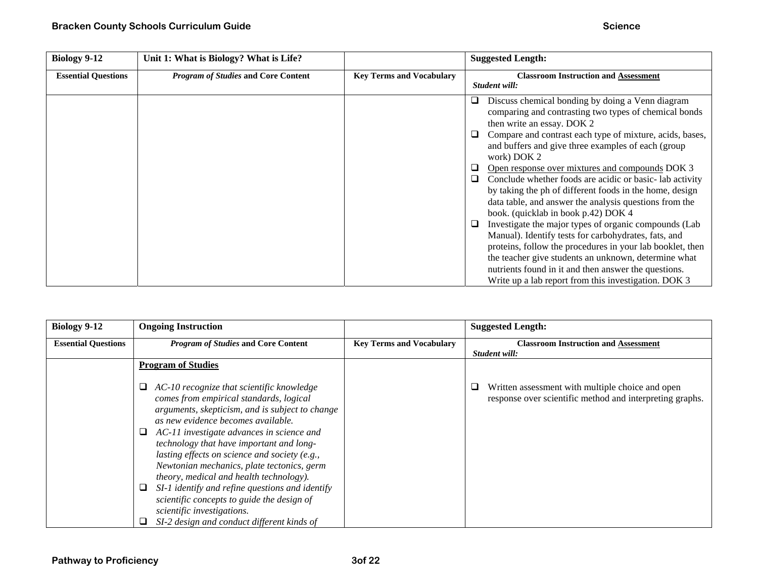| <b>Biology 9-12</b>        | Unit 1: What is Biology? What is Life?     |                                 | <b>Suggested Length:</b>                                                                                                                                                                                                                                                                                                                                                                                                                                                                                                                                                                                                                                                                                                                                                                                          |
|----------------------------|--------------------------------------------|---------------------------------|-------------------------------------------------------------------------------------------------------------------------------------------------------------------------------------------------------------------------------------------------------------------------------------------------------------------------------------------------------------------------------------------------------------------------------------------------------------------------------------------------------------------------------------------------------------------------------------------------------------------------------------------------------------------------------------------------------------------------------------------------------------------------------------------------------------------|
| <b>Essential Questions</b> | <b>Program of Studies and Core Content</b> | <b>Key Terms and Vocabulary</b> | <b>Classroom Instruction and Assessment</b>                                                                                                                                                                                                                                                                                                                                                                                                                                                                                                                                                                                                                                                                                                                                                                       |
|                            |                                            |                                 | Student will:                                                                                                                                                                                                                                                                                                                                                                                                                                                                                                                                                                                                                                                                                                                                                                                                     |
|                            |                                            |                                 | Discuss chemical bonding by doing a Venn diagram<br>❏<br>comparing and contrasting two types of chemical bonds<br>then write an essay. DOK 2<br>Compare and contrast each type of mixture, acids, bases,<br>❏<br>and buffers and give three examples of each (group<br>work) DOK 2<br>Open response over mixtures and compounds DOK 3<br>⊔<br>Conclude whether foods are acidic or basic-lab activity<br>❏<br>by taking the ph of different foods in the home, design<br>data table, and answer the analysis questions from the<br>book. (quicklab in book p.42) DOK 4<br>Investigate the major types of organic compounds (Lab<br>❏<br>Manual). Identify tests for carbohydrates, fats, and<br>proteins, follow the procedures in your lab booklet, then<br>the teacher give students an unknown, determine what |
|                            |                                            |                                 | nutrients found in it and then answer the questions.<br>Write up a lab report from this investigation. DOK 3                                                                                                                                                                                                                                                                                                                                                                                                                                                                                                                                                                                                                                                                                                      |

| Biology 9-12               | <b>Ongoing Instruction</b>                                                                                                                                                                                                                                                                                                                                                                                                                                                                                                                                      |                                 | <b>Suggested Length:</b>                                                                                     |
|----------------------------|-----------------------------------------------------------------------------------------------------------------------------------------------------------------------------------------------------------------------------------------------------------------------------------------------------------------------------------------------------------------------------------------------------------------------------------------------------------------------------------------------------------------------------------------------------------------|---------------------------------|--------------------------------------------------------------------------------------------------------------|
| <b>Essential Questions</b> | <b>Program of Studies and Core Content</b>                                                                                                                                                                                                                                                                                                                                                                                                                                                                                                                      | <b>Key Terms and Vocabulary</b> | <b>Classroom Instruction and Assessment</b>                                                                  |
|                            |                                                                                                                                                                                                                                                                                                                                                                                                                                                                                                                                                                 |                                 | Student will:                                                                                                |
|                            | <b>Program of Studies</b>                                                                                                                                                                                                                                                                                                                                                                                                                                                                                                                                       |                                 |                                                                                                              |
|                            | AC-10 recognize that scientific knowledge<br>⊔<br>comes from empirical standards, logical<br>arguments, skepticism, and is subject to change<br>as new evidence becomes available.<br>AC-11 investigate advances in science and<br>u.<br>technology that have important and long-<br>lasting effects on science and society (e.g.,<br>Newtonian mechanics, plate tectonics, germ<br>theory, medical and health technology).<br>SI-1 identify and refine questions and identify<br>⊔<br>scientific concepts to guide the design of<br>scientific investigations. |                                 | Written assessment with multiple choice and open<br>response over scientific method and interpreting graphs. |
|                            | SI-2 design and conduct different kinds of                                                                                                                                                                                                                                                                                                                                                                                                                                                                                                                      |                                 |                                                                                                              |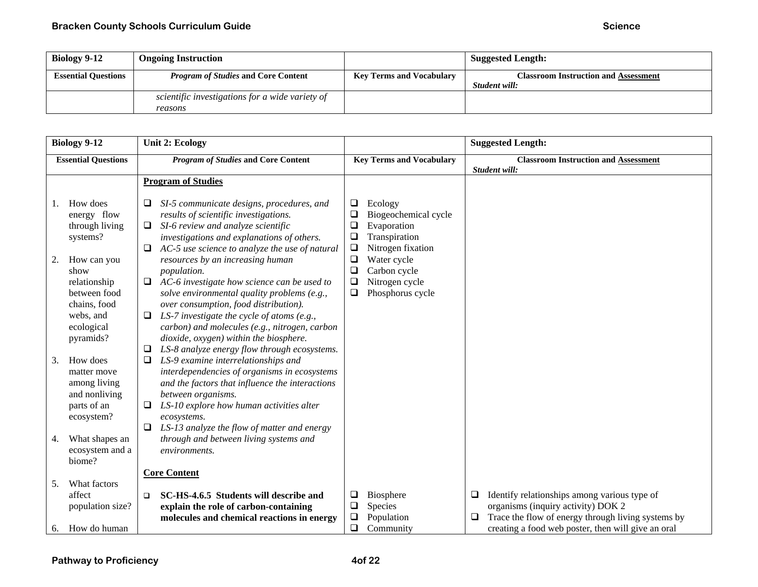| Biology 9-12               | <b>Ongoing Instruction</b>                      |                                 | <b>Suggested Length:</b>                    |
|----------------------------|-------------------------------------------------|---------------------------------|---------------------------------------------|
| <b>Essential Questions</b> | <b>Program of Studies and Core Content</b>      | <b>Key Terms and Vocabulary</b> | <b>Classroom Instruction and Assessment</b> |
|                            |                                                 |                                 | Student will:                               |
|                            | scientific investigations for a wide variety of |                                 |                                             |
|                            | reasons                                         |                                 |                                             |

|                | <b>Biology 9-12</b>                                                                                                                                                                             | <b>Unit 2: Ecology</b>                                                                                                                                                                                                                                                                                                                                                                                                                                                                                                                                                                                                                                                                                         |                                                                                   |                                                                                                                                                           |    | <b>Suggested Length:</b>                           |
|----------------|-------------------------------------------------------------------------------------------------------------------------------------------------------------------------------------------------|----------------------------------------------------------------------------------------------------------------------------------------------------------------------------------------------------------------------------------------------------------------------------------------------------------------------------------------------------------------------------------------------------------------------------------------------------------------------------------------------------------------------------------------------------------------------------------------------------------------------------------------------------------------------------------------------------------------|-----------------------------------------------------------------------------------|-----------------------------------------------------------------------------------------------------------------------------------------------------------|----|----------------------------------------------------|
|                | <b>Essential Questions</b>                                                                                                                                                                      | <b>Program of Studies and Core Content</b>                                                                                                                                                                                                                                                                                                                                                                                                                                                                                                                                                                                                                                                                     |                                                                                   | <b>Key Terms and Vocabulary</b>                                                                                                                           |    | <b>Classroom Instruction and Assessment</b>        |
|                |                                                                                                                                                                                                 | <b>Program of Studies</b>                                                                                                                                                                                                                                                                                                                                                                                                                                                                                                                                                                                                                                                                                      |                                                                                   |                                                                                                                                                           |    | Student will:                                      |
| 1.<br>2.<br>3. | How does<br>energy flow<br>through living<br>systems?<br>How can you<br>show<br>relationship<br>between food<br>chains, food<br>webs, and<br>ecological<br>pyramids?<br>How does<br>matter move | SI-5 communicate designs, procedures, and<br>results of scientific investigations.<br>SI-6 review and analyze scientific<br>$\Box$<br>investigations and explanations of others.<br>AC-5 use science to analyze the use of natural<br>resources by an increasing human<br>population.<br>AC-6 investigate how science can be used to<br>solve environmental quality problems (e.g.,<br>over consumption, food distribution).<br>LS-7 investigate the cycle of atoms $(e.g.,$<br>carbon) and molecules (e.g., nitrogen, carbon<br>dioxide, oxygen) within the biosphere.<br>LS-8 analyze energy flow through ecosystems.<br>LS-9 examine interrelationships and<br>interdependencies of organisms in ecosystems | ⊔<br>$\Box$<br>$\Box$<br>$\Box$<br>$\Box$<br>$\Box$<br>$\Box$<br>$\Box$<br>$\Box$ | Ecology<br>Biogeochemical cycle<br>Evaporation<br>Transpiration<br>Nitrogen fixation<br>Water cycle<br>Carbon cycle<br>Nitrogen cycle<br>Phosphorus cycle |    |                                                    |
| 4.             | among living<br>and nonliving<br>parts of an<br>ecosystem?<br>What shapes an<br>ecosystem and a<br>biome?                                                                                       | and the factors that influence the interactions<br>between organisms.<br>LS-10 explore how human activities alter<br>ecosystems.<br>LS-13 analyze the flow of matter and energy<br>through and between living systems and<br>environments.<br><b>Core Content</b>                                                                                                                                                                                                                                                                                                                                                                                                                                              |                                                                                   |                                                                                                                                                           |    |                                                    |
| 5.             | What factors<br>affect                                                                                                                                                                          | SC-HS-4.6.5 Students will describe and<br>□                                                                                                                                                                                                                                                                                                                                                                                                                                                                                                                                                                                                                                                                    | ❏                                                                                 | Biosphere                                                                                                                                                 | □  | Identify relationships among various type of       |
|                | population size?                                                                                                                                                                                | explain the role of carbon-containing                                                                                                                                                                                                                                                                                                                                                                                                                                                                                                                                                                                                                                                                          | $\Box$                                                                            | Species                                                                                                                                                   |    | organisms (inquiry activity) DOK 2                 |
|                |                                                                                                                                                                                                 | molecules and chemical reactions in energy                                                                                                                                                                                                                                                                                                                                                                                                                                                                                                                                                                                                                                                                     | $\Box$                                                                            | Population                                                                                                                                                | Q. | Trace the flow of energy through living systems by |
| 6.             | How do human                                                                                                                                                                                    |                                                                                                                                                                                                                                                                                                                                                                                                                                                                                                                                                                                                                                                                                                                | $\Box$                                                                            | Community                                                                                                                                                 |    | creating a food web poster, then will give an oral |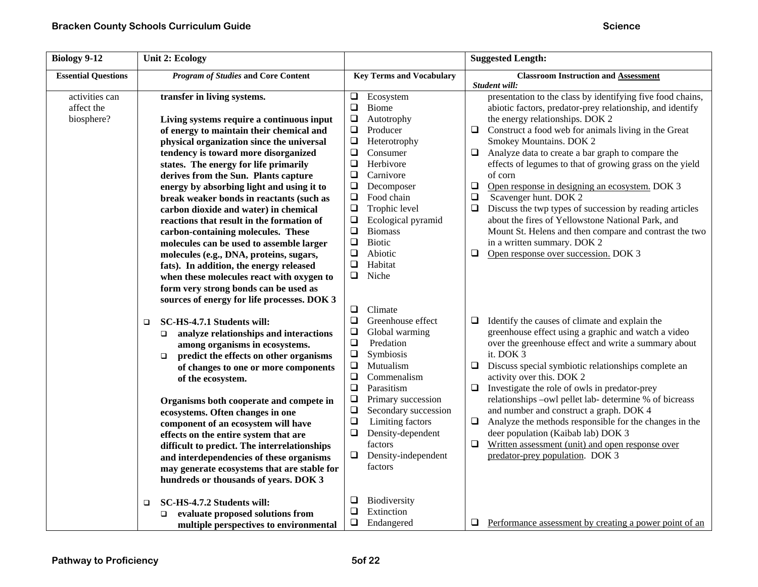| <b>Biology 9-12</b>                        | <b>Unit 2: Ecology</b>                                                                                                                                                                                                                                                                                                                                                                                                                                                                                                                                                                         |                                                                                                                                                                                                                                                                                                                                                                | <b>Suggested Length:</b>                                                                                                                                                                                                                                                                                                                                                                                                                                                                                                                                                                                                                                                                          |
|--------------------------------------------|------------------------------------------------------------------------------------------------------------------------------------------------------------------------------------------------------------------------------------------------------------------------------------------------------------------------------------------------------------------------------------------------------------------------------------------------------------------------------------------------------------------------------------------------------------------------------------------------|----------------------------------------------------------------------------------------------------------------------------------------------------------------------------------------------------------------------------------------------------------------------------------------------------------------------------------------------------------------|---------------------------------------------------------------------------------------------------------------------------------------------------------------------------------------------------------------------------------------------------------------------------------------------------------------------------------------------------------------------------------------------------------------------------------------------------------------------------------------------------------------------------------------------------------------------------------------------------------------------------------------------------------------------------------------------------|
| <b>Essential Questions</b>                 | <b>Program of Studies and Core Content</b>                                                                                                                                                                                                                                                                                                                                                                                                                                                                                                                                                     | <b>Key Terms and Vocabulary</b>                                                                                                                                                                                                                                                                                                                                | <b>Classroom Instruction and Assessment</b>                                                                                                                                                                                                                                                                                                                                                                                                                                                                                                                                                                                                                                                       |
| activities can<br>affect the<br>biosphere? | transfer in living systems.<br>Living systems require a continuous input<br>of energy to maintain their chemical and<br>physical organization since the universal<br>tendency is toward more disorganized<br>states. The energy for life primarily<br>derives from the Sun. Plants capture<br>energy by absorbing light and using it to<br>break weaker bonds in reactants (such as<br>carbon dioxide and water) in chemical<br>reactions that result in the formation of<br>carbon-containing molecules. These                                                                                | $\Box$<br>Ecosystem<br>$\Box$<br>Biome<br>$\Box$<br>Autotrophy<br>$\Box$<br>Producer<br>$\Box$<br>Heterotrophy<br>$\Box$<br>Consumer<br>$\Box$<br>Herbivore<br>$\Box$<br>Carnivore<br>$\Box$<br>Decomposer<br>Food chain<br>$\Box$<br>$\Box$<br>Trophic level<br>$\Box$<br>Ecological pyramid<br>$\Box$<br><b>Biomass</b><br>$\Box$<br><b>Biotic</b>           | Student will:<br>presentation to the class by identifying five food chains,<br>abiotic factors, predator-prey relationship, and identify<br>the energy relationships. DOK 2<br>Construct a food web for animals living in the Great<br>$\Box$<br>Smokey Mountains. DOK 2<br>Analyze data to create a bar graph to compare the<br>$\Box$<br>effects of legumes to that of growing grass on the yield<br>of corn<br>$\Box$<br>Open response in designing an ecosystem. DOK 3<br>Scavenger hunt. DOK 2<br>$\Box$<br>$\Box$<br>Discuss the twp types of succession by reading articles<br>about the fires of Yellowstone National Park, and<br>Mount St. Helens and then compare and contrast the two |
|                                            | molecules can be used to assemble larger<br>molecules (e.g., DNA, proteins, sugars,<br>fats). In addition, the energy released<br>when these molecules react with oxygen to<br>form very strong bonds can be used as<br>sources of energy for life processes. DOK 3                                                                                                                                                                                                                                                                                                                            | $\Box$<br>Abiotic<br>$\Box$<br>Habitat<br>$\Box$<br>Niche<br>$\Box$<br>Climate                                                                                                                                                                                                                                                                                 | in a written summary. DOK 2<br>Open response over succession. DOK 3<br>$\Box$                                                                                                                                                                                                                                                                                                                                                                                                                                                                                                                                                                                                                     |
|                                            | SC-HS-4.7.1 Students will:<br>$\Box$<br>analyze relationships and interactions<br>$\Box$<br>among organisms in ecosystems.<br>predict the effects on other organisms<br>$\Box$<br>of changes to one or more components<br>of the ecosystem.<br>Organisms both cooperate and compete in<br>ecosystems. Often changes in one<br>component of an ecosystem will have<br>effects on the entire system that are<br>difficult to predict. The interrelationships<br>and interdependencies of these organisms<br>may generate ecosystems that are stable for<br>hundreds or thousands of years. DOK 3 | ❏<br>Greenhouse effect<br>$\Box$<br>Global warming<br>$\Box$<br>Predation<br>$\Box$<br>Symbiosis<br>$\Box$<br>Mutualism<br>$\Box$<br>Commenalism<br>$\Box$<br>Parasitism<br>$\Box$<br>Primary succession<br>$\Box$<br>Secondary succession<br>$\Box$<br>Limiting factors<br>$\Box$<br>Density-dependent<br>factors<br>$\Box$<br>Density-independent<br>factors | Identify the causes of climate and explain the<br>$\Box$<br>greenhouse effect using a graphic and watch a video<br>over the greenhouse effect and write a summary about<br>it. DOK 3<br>Discuss special symbiotic relationships complete an<br>$\Box$<br>activity over this. DOK 2<br>$\Box$<br>Investigate the role of owls in predator-prey<br>relationships -owl pellet lab- determine % of bicreass<br>and number and construct a graph. DOK 4<br>$\Box$<br>Analyze the methods responsible for the changes in the<br>deer population (Kaibab lab) DOK 3<br>Written assessment (unit) and open response over<br>$\Box$<br>predator-prey population. DOK 3                                     |
|                                            | SC-HS-4.7.2 Students will:<br>$\Box$<br>evaluate proposed solutions from<br>□<br>multiple perspectives to environmental                                                                                                                                                                                                                                                                                                                                                                                                                                                                        | ❏<br>Biodiversity<br>$\Box$<br>Extinction<br>$\Box$<br>Endangered                                                                                                                                                                                                                                                                                              | $\Box$ Performance assessment by creating a power point of an                                                                                                                                                                                                                                                                                                                                                                                                                                                                                                                                                                                                                                     |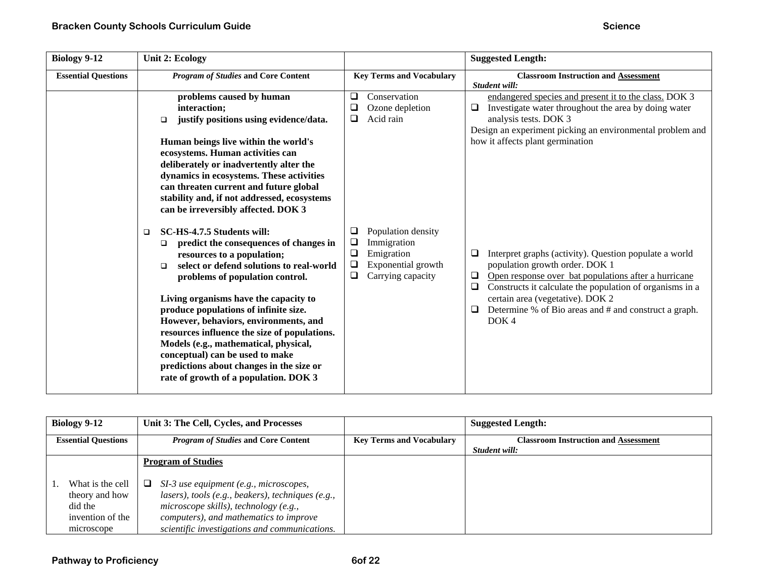| <b>Biology 9-12</b>        | <b>Unit 2: Ecology</b>                                                                                                                                                                                                                                                                                                                                                                                                                                                                                                                                 |                                                                                                                                         | <b>Suggested Length:</b>                                                                                                                                                                                                                                                                                                                                              |
|----------------------------|--------------------------------------------------------------------------------------------------------------------------------------------------------------------------------------------------------------------------------------------------------------------------------------------------------------------------------------------------------------------------------------------------------------------------------------------------------------------------------------------------------------------------------------------------------|-----------------------------------------------------------------------------------------------------------------------------------------|-----------------------------------------------------------------------------------------------------------------------------------------------------------------------------------------------------------------------------------------------------------------------------------------------------------------------------------------------------------------------|
| <b>Essential Questions</b> | <b>Program of Studies and Core Content</b>                                                                                                                                                                                                                                                                                                                                                                                                                                                                                                             | <b>Key Terms and Vocabulary</b>                                                                                                         | <b>Classroom Instruction and Assessment</b><br>Student will:                                                                                                                                                                                                                                                                                                          |
|                            | problems caused by human<br>interaction;<br>justify positions using evidence/data.<br>$\Box$<br>Human beings live within the world's<br>ecosystems. Human activities can<br>deliberately or inadvertently alter the<br>dynamics in ecosystems. These activities<br>can threaten current and future global<br>stability and, if not addressed, ecosystems<br>can be irreversibly affected. DOK 3                                                                                                                                                        | ❏<br>Conservation<br>❏<br>Ozone depletion<br>Acid rain<br>❏                                                                             | endangered species and present it to the class. DOK 3<br>Investigate water throughout the area by doing water<br>$\Box$<br>analysis tests. DOK 3<br>Design an experiment picking an environmental problem and<br>how it affects plant germination                                                                                                                     |
|                            | SC-HS-4.7.5 Students will:<br>$\Box$<br>predict the consequences of changes in<br>$\Box$<br>resources to a population;<br>select or defend solutions to real-world<br>◻<br>problems of population control.<br>Living organisms have the capacity to<br>produce populations of infinite size.<br>However, behaviors, environments, and<br>resources influence the size of populations.<br>Models (e.g., mathematical, physical,<br>conceptual) can be used to make<br>predictions about changes in the size or<br>rate of growth of a population. DOK 3 | Population density<br>⊔<br>$\Box$<br>Immigration<br>$\Box$<br>Emigration<br>$\Box$<br>Exponential growth<br>$\Box$<br>Carrying capacity | $\Box$<br>Interpret graphs (activity). Question populate a world<br>population growth order. DOK 1<br>Open response over bat populations after a hurricane<br>$\Box$<br>Constructs it calculate the population of organisms in a<br>$\Box$<br>certain area (vegetative). DOK 2<br>Determine % of Bio areas and # and construct a graph.<br>$\Box$<br>DOK <sub>4</sub> |

| Biology 9-12               | Unit 3: The Cell, Cycles, and Processes             |                                 | <b>Suggested Length:</b>                    |
|----------------------------|-----------------------------------------------------|---------------------------------|---------------------------------------------|
| <b>Essential Questions</b> | <b>Program of Studies and Core Content</b>          | <b>Key Terms and Vocabulary</b> | <b>Classroom Instruction and Assessment</b> |
|                            |                                                     |                                 | Student will:                               |
|                            | <b>Program of Studies</b>                           |                                 |                                             |
|                            |                                                     |                                 |                                             |
| What is the cell           | SI-3 use equipment (e.g., microscopes,<br>□         |                                 |                                             |
| theory and how             | $lases$ ), tools (e.g., beakers), techniques (e.g., |                                 |                                             |
| did the                    | microscope skills), technology (e.g.,               |                                 |                                             |
| invention of the           | computers), and mathematics to improve              |                                 |                                             |
| microscope                 | scientific investigations and communications.       |                                 |                                             |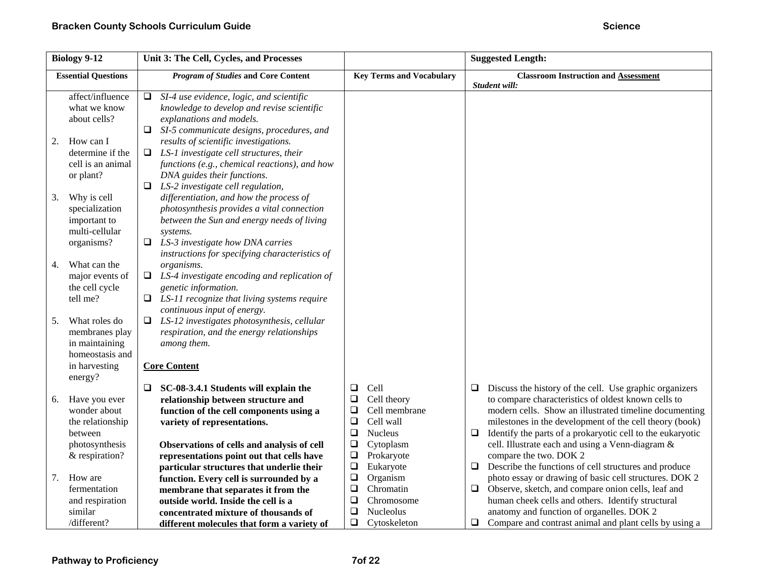|    | <b>Biology 9-12</b>                                                           | Unit 3: The Cell, Cycles, and Processes                                                                                                                                                                                                      |                                                                                          | <b>Suggested Length:</b>                                                                                                                                                                                                                         |
|----|-------------------------------------------------------------------------------|----------------------------------------------------------------------------------------------------------------------------------------------------------------------------------------------------------------------------------------------|------------------------------------------------------------------------------------------|--------------------------------------------------------------------------------------------------------------------------------------------------------------------------------------------------------------------------------------------------|
|    | <b>Essential Questions</b>                                                    | <b>Program of Studies and Core Content</b>                                                                                                                                                                                                   | <b>Key Terms and Vocabulary</b>                                                          | <b>Classroom Instruction and Assessment</b><br>Student will:                                                                                                                                                                                     |
|    | affect/influence<br>what we know<br>about cells?                              | SI-4 use evidence, logic, and scientific<br>Q.<br>knowledge to develop and revise scientific<br>explanations and models.<br>SI-5 communicate designs, procedures, and<br>⊔                                                                   |                                                                                          |                                                                                                                                                                                                                                                  |
| 2. | How can I<br>determine if the<br>cell is an animal<br>or plant?               | results of scientific investigations.<br>$\Box$ LS-1 investigate cell structures, their<br>functions (e.g., chemical reactions), and how<br>DNA guides their functions.<br>LS-2 investigate cell regulation,<br>□                            |                                                                                          |                                                                                                                                                                                                                                                  |
| 3. | Why is cell<br>specialization<br>important to<br>multi-cellular<br>organisms? | differentiation, and how the process of<br>photosynthesis provides a vital connection<br>between the Sun and energy needs of living<br>systems.<br>$\Box$ LS-3 investigate how DNA carries<br>instructions for specifying characteristics of |                                                                                          |                                                                                                                                                                                                                                                  |
| 4. | What can the<br>major events of<br>the cell cycle<br>tell me?                 | organisms.<br>$\Box$ LS-4 investigate encoding and replication of<br>genetic information.<br>LS-11 recognize that living systems require                                                                                                     |                                                                                          |                                                                                                                                                                                                                                                  |
| 5. | What roles do<br>membranes play<br>in maintaining<br>homeostasis and          | continuous input of energy.<br>$\Box$ LS-12 investigates photosynthesis, cellular<br>respiration, and the energy relationships<br>among them.                                                                                                |                                                                                          |                                                                                                                                                                                                                                                  |
|    | in harvesting<br>energy?                                                      | <b>Core Content</b><br>SC-08-3.4.1 Students will explain the                                                                                                                                                                                 | Cell<br>❏                                                                                | Discuss the history of the cell. Use graphic organizers<br>⊔                                                                                                                                                                                     |
| 6. | Have you ever<br>wonder about<br>the relationship<br>between                  | ⊔<br>relationship between structure and<br>function of the cell components using a<br>variety of representations.                                                                                                                            | Cell theory<br>❏<br>$\Box$<br>Cell membrane<br>$\Box$<br>Cell wall<br>$\Box$<br>Nucleus  | to compare characteristics of oldest known cells to<br>modern cells. Show an illustrated timeline documenting<br>milestones in the development of the cell theory (book)<br>Identify the parts of a prokaryotic cell to the eukaryotic<br>$\Box$ |
|    | photosynthesis<br>& respiration?                                              | Observations of cells and analysis of cell<br>representations point out that cells have<br>particular structures that underlie their                                                                                                         | $\Box$<br>Cytoplasm<br>$\Box$<br>Prokaryote<br>$\Box$<br>Eukaryote                       | cell. Illustrate each and using a Venn-diagram &<br>compare the two. DOK 2<br>Describe the functions of cell structures and produce<br>$\Box$                                                                                                    |
| 7. | How are<br>fermentation<br>and respiration<br>similar                         | function. Every cell is surrounded by a<br>membrane that separates it from the<br>outside world. Inside the cell is a<br>concentrated mixture of thousands of                                                                                | $\Box$<br>Organism<br>$\Box$<br>Chromatin<br>$\Box$<br>Chromosome<br>$\Box$<br>Nucleolus | photo essay or drawing of basic cell structures. DOK 2<br>Observe, sketch, and compare onion cells, leaf and<br>$\Box$<br>human cheek cells and others. Identify structural<br>anatomy and function of organelles. DOK 2                         |
|    | /different?                                                                   | different molecules that form a variety of                                                                                                                                                                                                   | $\Box$<br>Cytoskeleton                                                                   | $\Box$ Compare and contrast animal and plant cells by using a                                                                                                                                                                                    |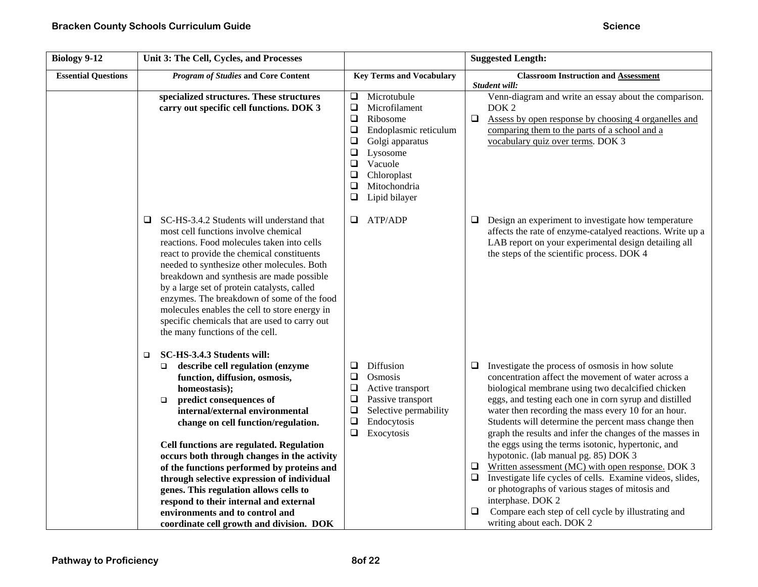| <b>Biology 9-12</b>        | Unit 3: The Cell, Cycles, and Processes                                                                                                                                                                                                                                                                                                                                                                                                                                                                                                                                                                  |                                                                                                                                                                                                                                                            | <b>Suggested Length:</b>                                                                                                                                                                                                                                                                                                                                                                                                                                                                                                                                                                                                                                                                                                                                                                                   |
|----------------------------|----------------------------------------------------------------------------------------------------------------------------------------------------------------------------------------------------------------------------------------------------------------------------------------------------------------------------------------------------------------------------------------------------------------------------------------------------------------------------------------------------------------------------------------------------------------------------------------------------------|------------------------------------------------------------------------------------------------------------------------------------------------------------------------------------------------------------------------------------------------------------|------------------------------------------------------------------------------------------------------------------------------------------------------------------------------------------------------------------------------------------------------------------------------------------------------------------------------------------------------------------------------------------------------------------------------------------------------------------------------------------------------------------------------------------------------------------------------------------------------------------------------------------------------------------------------------------------------------------------------------------------------------------------------------------------------------|
| <b>Essential Questions</b> | <b>Program of Studies and Core Content</b>                                                                                                                                                                                                                                                                                                                                                                                                                                                                                                                                                               | <b>Key Terms and Vocabulary</b>                                                                                                                                                                                                                            | <b>Classroom Instruction and Assessment</b><br>Student will:                                                                                                                                                                                                                                                                                                                                                                                                                                                                                                                                                                                                                                                                                                                                               |
|                            | specialized structures. These structures<br>carry out specific cell functions. DOK 3                                                                                                                                                                                                                                                                                                                                                                                                                                                                                                                     | Microtubule<br>$\Box$<br>Microfilament<br>$\Box$<br>$\Box$<br>Ribosome<br>$\Box$<br>Endoplasmic reticulum<br>$\Box$<br>Golgi apparatus<br>Lysosome<br>$\Box$<br>$\Box$<br>Vacuole<br>$\Box$<br>Chloroplast<br>$\Box$<br>Mitochondria<br>Lipid bilayer<br>❏ | Venn-diagram and write an essay about the comparison.<br>DOK <sub>2</sub><br>$\Box$<br>Assess by open response by choosing 4 organelles and<br>comparing them to the parts of a school and a<br>vocabulary quiz over terms. DOK 3                                                                                                                                                                                                                                                                                                                                                                                                                                                                                                                                                                          |
|                            | SC-HS-3.4.2 Students will understand that<br>❏<br>most cell functions involve chemical<br>reactions. Food molecules taken into cells<br>react to provide the chemical constituents<br>needed to synthesize other molecules. Both<br>breakdown and synthesis are made possible<br>by a large set of protein catalysts, called<br>enzymes. The breakdown of some of the food<br>molecules enables the cell to store energy in<br>specific chemicals that are used to carry out<br>the many functions of the cell.                                                                                          | ATP/ADP<br>Q.                                                                                                                                                                                                                                              | Design an experiment to investigate how temperature<br>❏<br>affects the rate of enzyme-catalyed reactions. Write up a<br>LAB report on your experimental design detailing all<br>the steps of the scientific process. DOK 4                                                                                                                                                                                                                                                                                                                                                                                                                                                                                                                                                                                |
|                            | SC-HS-3.4.3 Students will:<br>□<br>describe cell regulation (enzyme<br>$\Box$<br>function, diffusion, osmosis,<br>homeostasis);<br>predict consequences of<br>$\Box$<br>internal/external environmental<br>change on cell function/regulation.<br>Cell functions are regulated. Regulation<br>occurs both through changes in the activity<br>of the functions performed by proteins and<br>through selective expression of individual<br>genes. This regulation allows cells to<br>respond to their internal and external<br>environments and to control and<br>coordinate cell growth and division. DOK | Diffusion<br>❏<br>Osmosis<br>❏<br>$\Box$<br>Active transport<br>$\Box$<br>Passive transport<br>$\Box$<br>Selective permability<br>Endocytosis<br>$\Box$<br>$\Box$<br>Exocytosis                                                                            | $\Box$ Investigate the process of osmosis in how solute<br>concentration affect the movement of water across a<br>biological membrane using two decalcified chicken<br>eggs, and testing each one in corn syrup and distilled<br>water then recording the mass every 10 for an hour.<br>Students will determine the percent mass change then<br>graph the results and infer the changes of the masses in<br>the eggs using the terms isotonic, hypertonic, and<br>hypotonic. (lab manual pg. 85) DOK 3<br>Written assessment (MC) with open response. DOK 3<br>□<br>$\Box$ Investigate life cycles of cells. Examine videos, slides,<br>or photographs of various stages of mitosis and<br>interphase. DOK 2<br>Compare each step of cell cycle by illustrating and<br>$\Box$<br>writing about each. DOK 2 |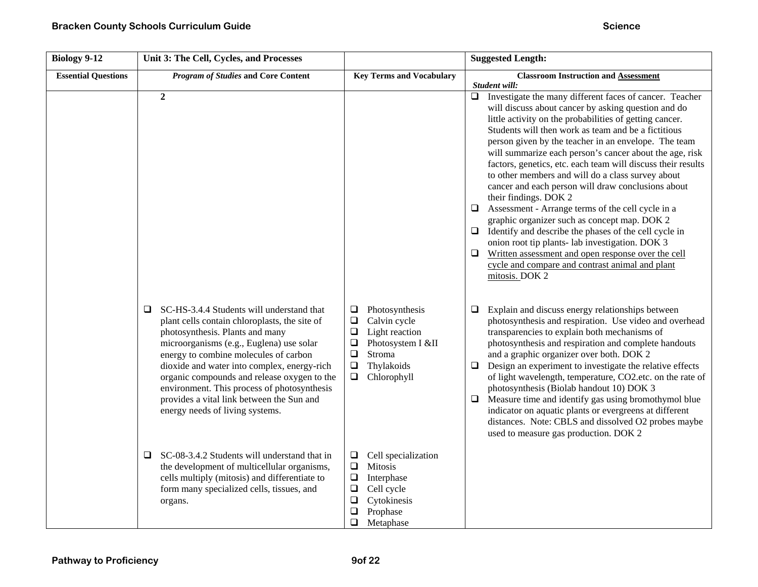| <b>Biology 9-12</b>        | Unit 3: The Cell, Cycles, and Processes                                                                                                                                                                                                                                                                                                                                                                                                               |                                                                                                                                                                               | <b>Suggested Length:</b>                                                                                                                                                                                                                                                                                                                                                                                                                                                                                                                                                                                                                                                                                                                                                                                                                                                                                                          |
|----------------------------|-------------------------------------------------------------------------------------------------------------------------------------------------------------------------------------------------------------------------------------------------------------------------------------------------------------------------------------------------------------------------------------------------------------------------------------------------------|-------------------------------------------------------------------------------------------------------------------------------------------------------------------------------|-----------------------------------------------------------------------------------------------------------------------------------------------------------------------------------------------------------------------------------------------------------------------------------------------------------------------------------------------------------------------------------------------------------------------------------------------------------------------------------------------------------------------------------------------------------------------------------------------------------------------------------------------------------------------------------------------------------------------------------------------------------------------------------------------------------------------------------------------------------------------------------------------------------------------------------|
| <b>Essential Questions</b> | <b>Program of Studies and Core Content</b>                                                                                                                                                                                                                                                                                                                                                                                                            | <b>Key Terms and Vocabulary</b>                                                                                                                                               | <b>Classroom Instruction and Assessment</b><br>Student will:                                                                                                                                                                                                                                                                                                                                                                                                                                                                                                                                                                                                                                                                                                                                                                                                                                                                      |
|                            | $\overline{2}$                                                                                                                                                                                                                                                                                                                                                                                                                                        |                                                                                                                                                                               | Investigate the many different faces of cancer. Teacher<br>$\Box$<br>will discuss about cancer by asking question and do<br>little activity on the probabilities of getting cancer.<br>Students will then work as team and be a fictitious<br>person given by the teacher in an envelope. The team<br>will summarize each person's cancer about the age, risk<br>factors, genetics, etc. each team will discuss their results<br>to other members and will do a class survey about<br>cancer and each person will draw conclusions about<br>their findings. DOK 2<br>Assessment - Arrange terms of the cell cycle in a<br>⊔<br>graphic organizer such as concept map. DOK 2<br>Identify and describe the phases of the cell cycle in<br>□<br>onion root tip plants- lab investigation. DOK 3<br>$\Box$<br>Written assessment and open response over the cell<br>cycle and compare and contrast animal and plant<br>mitosis. DOK 2 |
|                            | SC-HS-3.4.4 Students will understand that<br>Q.<br>plant cells contain chloroplasts, the site of<br>photosynthesis. Plants and many<br>microorganisms (e.g., Euglena) use solar<br>energy to combine molecules of carbon<br>dioxide and water into complex, energy-rich<br>organic compounds and release oxygen to the<br>environment. This process of photosynthesis<br>provides a vital link between the Sun and<br>energy needs of living systems. | Photosynthesis<br>$\Box$<br>$\Box$<br>Calvin cycle<br>$\Box$<br>Light reaction<br>$\Box$<br>Photosystem I &II<br>$\Box$<br>Stroma<br>Thylakoids<br>❏<br>Chlorophyll<br>$\Box$ | Explain and discuss energy relationships between<br>$\Box$<br>photosynthesis and respiration. Use video and overhead<br>transparencies to explain both mechanisms of<br>photosynthesis and respiration and complete handouts<br>and a graphic organizer over both. DOK 2<br>Design an experiment to investigate the relative effects<br>❏<br>of light wavelength, temperature, CO2.etc. on the rate of<br>photosynthesis (Biolab handout 10) DOK 3<br>Measure time and identify gas using bromothymol blue<br>$\Box$<br>indicator on aquatic plants or evergreens at different<br>distances. Note: CBLS and dissolved O2 probes maybe<br>used to measure gas production. DOK 2                                                                                                                                                                                                                                                    |
|                            | SC-08-3.4.2 Students will understand that in<br>⊔<br>the development of multicellular organisms,<br>cells multiply (mitosis) and differentiate to<br>form many specialized cells, tissues, and<br>organs.                                                                                                                                                                                                                                             | Cell specialization<br>$\Box$<br>$\Box$<br>Mitosis<br>$\Box$<br>Interphase<br>$\Box$<br>Cell cycle<br>Cytokinesis<br>❏<br>$\Box$<br>Prophase<br>$\Box$<br>Metaphase           |                                                                                                                                                                                                                                                                                                                                                                                                                                                                                                                                                                                                                                                                                                                                                                                                                                                                                                                                   |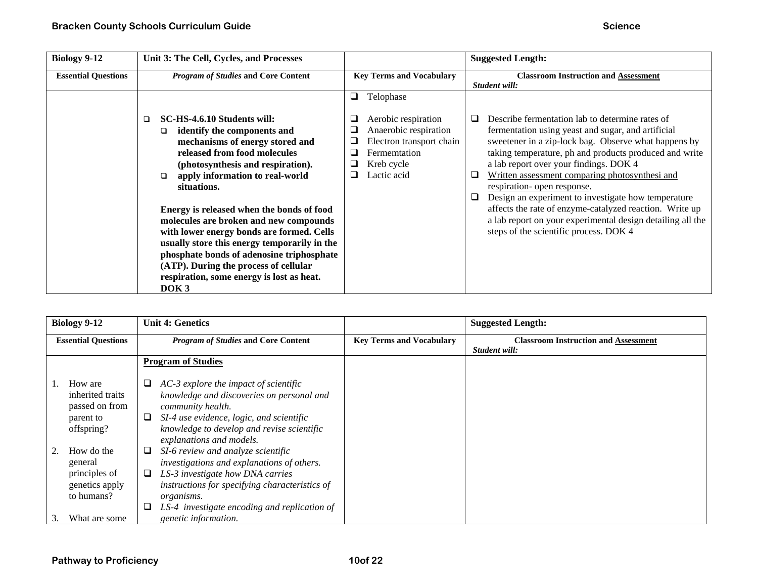| <b>Biology 9-12</b>        | Unit 3: The Cell, Cycles, and Processes                                                                                                                                                                                                                                                                                                                                                                                                                                                                                                                                        |                                                                                                                                                             | <b>Suggested Length:</b>                                                                                                                                                                                                                                                                                                                                                                                                                                                                                                                                                                         |
|----------------------------|--------------------------------------------------------------------------------------------------------------------------------------------------------------------------------------------------------------------------------------------------------------------------------------------------------------------------------------------------------------------------------------------------------------------------------------------------------------------------------------------------------------------------------------------------------------------------------|-------------------------------------------------------------------------------------------------------------------------------------------------------------|--------------------------------------------------------------------------------------------------------------------------------------------------------------------------------------------------------------------------------------------------------------------------------------------------------------------------------------------------------------------------------------------------------------------------------------------------------------------------------------------------------------------------------------------------------------------------------------------------|
| <b>Essential Questions</b> | <b>Program of Studies and Core Content</b>                                                                                                                                                                                                                                                                                                                                                                                                                                                                                                                                     | <b>Key Terms and Vocabulary</b>                                                                                                                             | <b>Classroom Instruction and Assessment</b><br>Student will:                                                                                                                                                                                                                                                                                                                                                                                                                                                                                                                                     |
|                            | SC-HS-4.6.10 Students will:<br>□<br>identify the components and<br>□<br>mechanisms of energy stored and<br>released from food molecules<br>(photosynthesis and respiration).<br>apply information to real-world<br>□<br>situations.<br>Energy is released when the bonds of food<br>molecules are broken and new compounds<br>with lower energy bonds are formed. Cells<br>usually store this energy temporarily in the<br>phosphate bonds of adenosine triphosphate<br>(ATP). During the process of cellular<br>respiration, some energy is lost as heat.<br>DOK <sub>3</sub> | Telophase<br>Q<br>Aerobic respiration<br>⊔<br>Anaerobic respiration<br>⊔<br>Electron transport chain<br>Fermemtation<br>▁<br>Kreb cycle<br>Lactic acid<br>⊔ | Describe fermentation lab to determine rates of<br>ப<br>fermentation using yeast and sugar, and artificial<br>sweetener in a zip-lock bag. Observe what happens by<br>taking temperature, ph and products produced and write<br>a lab report over your findings. DOK 4<br>Written assessment comparing photosynthesi and<br>❏<br>respiration- open response.<br>$\Box$<br>Design an experiment to investigate how temperature<br>affects the rate of enzyme-catalyzed reaction. Write up<br>a lab report on your experimental design detailing all the<br>steps of the scientific process. DOK 4 |

| <b>Biology 9-12</b>                                        | <b>Unit 4: Genetics</b>                                                                                                                                       |                                 | <b>Suggested Length:</b>                                     |
|------------------------------------------------------------|---------------------------------------------------------------------------------------------------------------------------------------------------------------|---------------------------------|--------------------------------------------------------------|
| <b>Essential Questions</b>                                 | <b>Program of Studies and Core Content</b>                                                                                                                    | <b>Key Terms and Vocabulary</b> | <b>Classroom Instruction and Assessment</b><br>Student will: |
|                                                            | <b>Program of Studies</b>                                                                                                                                     |                                 |                                                              |
| How are<br>inherited traits<br>passed on from<br>parent to | AC-3 explore the impact of scientific<br>⊔<br>knowledge and discoveries on personal and<br>community health.<br>SI-4 use evidence, logic, and scientific<br>⊔ |                                 |                                                              |
| offspring?                                                 | knowledge to develop and revise scientific<br>explanations and models.                                                                                        |                                 |                                                              |
| How do the<br>general                                      | SI-6 review and analyze scientific<br>⊔<br>investigations and explanations of others.                                                                         |                                 |                                                              |
| principles of<br>genetics apply<br>to humans?              | LS-3 investigate how DNA carries<br>⊔<br>instructions for specifying characteristics of<br><i>organisms.</i>                                                  |                                 |                                                              |
| What are some                                              | LS-4 investigate encoding and replication of<br>genetic information.                                                                                          |                                 |                                                              |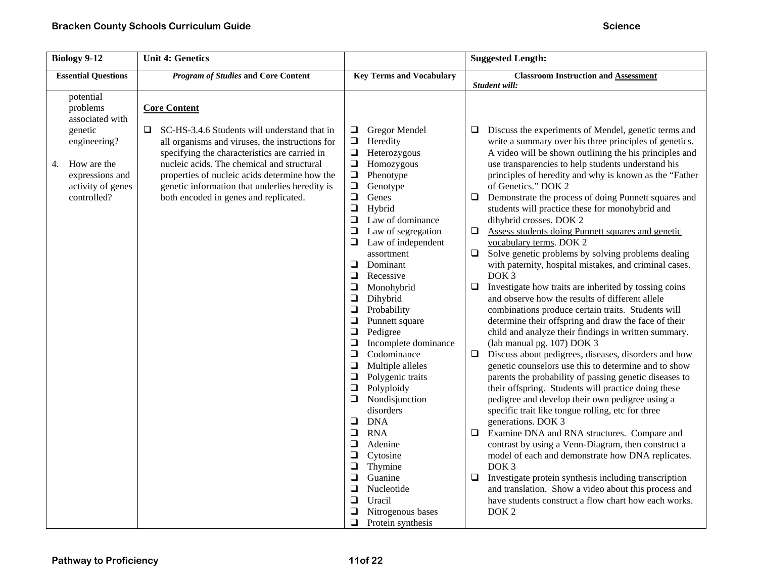| <b>Biology 9-12</b>                                                                                                                             | <b>Unit 4: Genetics</b>                                                                                                                                                                                                                                                                                                                                                 |                                                                                                                                                                                                                                                                                                                                                                                                                                                                                                                                                                                                                                                                                                                                           | <b>Suggested Length:</b>                                                                                                                                                                                                                                                                                                                                                                                                                                                                                                                                                                                                                                                                                                                                                                                                                                                                                                                                                                                                                                                                                                                                                                                                                                                                                                                                                                                                                                                                                                                                                                        |
|-------------------------------------------------------------------------------------------------------------------------------------------------|-------------------------------------------------------------------------------------------------------------------------------------------------------------------------------------------------------------------------------------------------------------------------------------------------------------------------------------------------------------------------|-------------------------------------------------------------------------------------------------------------------------------------------------------------------------------------------------------------------------------------------------------------------------------------------------------------------------------------------------------------------------------------------------------------------------------------------------------------------------------------------------------------------------------------------------------------------------------------------------------------------------------------------------------------------------------------------------------------------------------------------|-------------------------------------------------------------------------------------------------------------------------------------------------------------------------------------------------------------------------------------------------------------------------------------------------------------------------------------------------------------------------------------------------------------------------------------------------------------------------------------------------------------------------------------------------------------------------------------------------------------------------------------------------------------------------------------------------------------------------------------------------------------------------------------------------------------------------------------------------------------------------------------------------------------------------------------------------------------------------------------------------------------------------------------------------------------------------------------------------------------------------------------------------------------------------------------------------------------------------------------------------------------------------------------------------------------------------------------------------------------------------------------------------------------------------------------------------------------------------------------------------------------------------------------------------------------------------------------------------|
| <b>Essential Questions</b>                                                                                                                      | <b>Program of Studies and Core Content</b>                                                                                                                                                                                                                                                                                                                              | <b>Key Terms and Vocabulary</b>                                                                                                                                                                                                                                                                                                                                                                                                                                                                                                                                                                                                                                                                                                           | <b>Classroom Instruction and Assessment</b>                                                                                                                                                                                                                                                                                                                                                                                                                                                                                                                                                                                                                                                                                                                                                                                                                                                                                                                                                                                                                                                                                                                                                                                                                                                                                                                                                                                                                                                                                                                                                     |
| potential<br>problems<br>associated with<br>genetic<br>engineering?<br>How are the<br>4.<br>expressions and<br>activity of genes<br>controlled? | <b>Core Content</b><br>SC-HS-3.4.6 Students will understand that in<br>❏.<br>all organisms and viruses, the instructions for<br>specifying the characteristics are carried in<br>nucleic acids. The chemical and structural<br>properties of nucleic acids determine how the<br>genetic information that underlies heredity is<br>both encoded in genes and replicated. | Gregor Mendel<br>$\Box$<br>$\Box$<br>Heredity<br>$\Box$<br>Heterozygous<br>$\Box$<br>Homozygous<br>$\Box$<br>Phenotype<br>$\Box$<br>Genotype<br>$\Box$<br>Genes<br>$\Box$<br>Hybrid<br>$\Box$<br>Law of dominance<br>Law of segregation<br>❏<br>Law of independent<br>❏<br>assortment<br>$\Box$<br>Dominant<br>$\Box$<br>Recessive<br>Monohybrid<br>□<br>$\Box$<br>Dihybrid<br>$\Box$<br>Probability<br>$\Box$<br>Punnett square<br>Pedigree<br>$\Box$<br>$\Box$<br>Incomplete dominance<br>Codominance<br>$\Box$<br>$\Box$<br>Multiple alleles<br>Polygenic traits<br>$\Box$<br>$\Box$<br>Polyploidy<br>Nondisjunction<br>$\Box$<br>disorders<br><b>DNA</b><br>$\Box$<br>$\Box$<br><b>RNA</b><br>$\Box$<br>Adenine<br>$\Box$<br>Cytosine | Student will:<br>Discuss the experiments of Mendel, genetic terms and<br>⊔<br>write a summary over his three principles of genetics.<br>A video will be shown outlining the his principles and<br>use transparencies to help students understand his<br>principles of heredity and why is known as the "Father<br>of Genetics." DOK 2<br>$\Box$<br>Demonstrate the process of doing Punnett squares and<br>students will practice these for monohybrid and<br>dihybrid crosses. DOK 2<br>$\Box$<br>Assess students doing Punnett squares and genetic<br>vocabulary terms. DOK 2<br>Solve genetic problems by solving problems dealing<br>$\Box$<br>with paternity, hospital mistakes, and criminal cases.<br>DOK <sub>3</sub><br>Investigate how traits are inherited by tossing coins<br>□<br>and observe how the results of different allele<br>combinations produce certain traits. Students will<br>determine their offspring and draw the face of their<br>child and analyze their findings in written summary.<br>(lab manual pg. 107) DOK 3<br>$\Box$<br>Discuss about pedigrees, diseases, disorders and how<br>genetic counselors use this to determine and to show<br>parents the probability of passing genetic diseases to<br>their offspring. Students will practice doing these<br>pedigree and develop their own pedigree using a<br>specific trait like tongue rolling, etc for three<br>generations. DOK 3<br>Examine DNA and RNA structures. Compare and<br>$\Box$<br>contrast by using a Venn-Diagram, then construct a<br>model of each and demonstrate how DNA replicates. |
|                                                                                                                                                 |                                                                                                                                                                                                                                                                                                                                                                         | Thymine<br>□<br>$\Box$<br>Guanine<br>Nucleotide<br>$\Box$<br>$\Box$<br>Uracil<br>Nitrogenous bases<br>❏                                                                                                                                                                                                                                                                                                                                                                                                                                                                                                                                                                                                                                   | DOK <sub>3</sub><br>Investigate protein synthesis including transcription<br>□<br>and translation. Show a video about this process and<br>have students construct a flow chart how each works.<br>DOK <sub>2</sub>                                                                                                                                                                                                                                                                                                                                                                                                                                                                                                                                                                                                                                                                                                                                                                                                                                                                                                                                                                                                                                                                                                                                                                                                                                                                                                                                                                              |
|                                                                                                                                                 |                                                                                                                                                                                                                                                                                                                                                                         | ◻<br>Protein synthesis                                                                                                                                                                                                                                                                                                                                                                                                                                                                                                                                                                                                                                                                                                                    |                                                                                                                                                                                                                                                                                                                                                                                                                                                                                                                                                                                                                                                                                                                                                                                                                                                                                                                                                                                                                                                                                                                                                                                                                                                                                                                                                                                                                                                                                                                                                                                                 |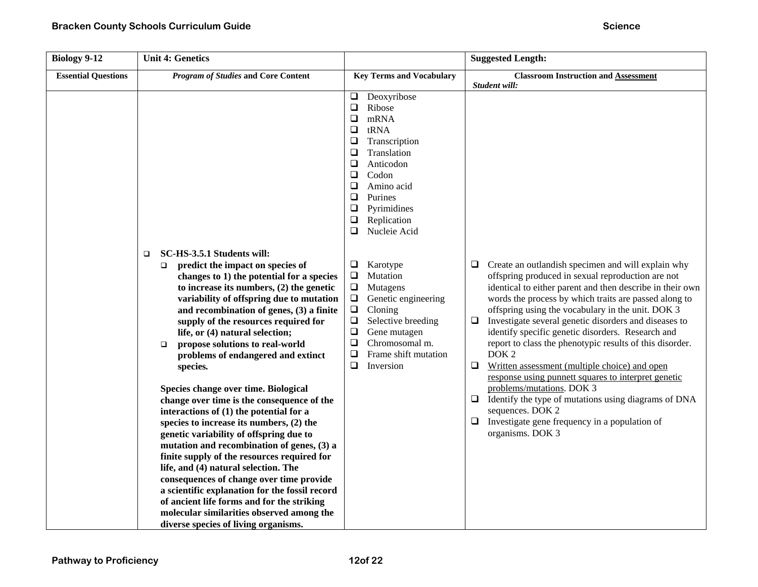| <b>Biology 9-12</b>        | <b>Unit 4: Genetics</b>                                                                                                                                                                                                                                                                                                                                                                                                                                                                                                                                                                                                                                                                                                                                                                                                                                                                                                                                                                                                                       |                                                                                                                                                                                                                                                                                       | <b>Suggested Length:</b>                                                                                                                                                                                                                                                                                                                                                                                                                                                                                                                                                                                                                                                                                                                                                                             |
|----------------------------|-----------------------------------------------------------------------------------------------------------------------------------------------------------------------------------------------------------------------------------------------------------------------------------------------------------------------------------------------------------------------------------------------------------------------------------------------------------------------------------------------------------------------------------------------------------------------------------------------------------------------------------------------------------------------------------------------------------------------------------------------------------------------------------------------------------------------------------------------------------------------------------------------------------------------------------------------------------------------------------------------------------------------------------------------|---------------------------------------------------------------------------------------------------------------------------------------------------------------------------------------------------------------------------------------------------------------------------------------|------------------------------------------------------------------------------------------------------------------------------------------------------------------------------------------------------------------------------------------------------------------------------------------------------------------------------------------------------------------------------------------------------------------------------------------------------------------------------------------------------------------------------------------------------------------------------------------------------------------------------------------------------------------------------------------------------------------------------------------------------------------------------------------------------|
| <b>Essential Questions</b> | <b>Program of Studies and Core Content</b>                                                                                                                                                                                                                                                                                                                                                                                                                                                                                                                                                                                                                                                                                                                                                                                                                                                                                                                                                                                                    | <b>Key Terms and Vocabulary</b>                                                                                                                                                                                                                                                       | <b>Classroom Instruction and Assessment</b>                                                                                                                                                                                                                                                                                                                                                                                                                                                                                                                                                                                                                                                                                                                                                          |
|                            |                                                                                                                                                                                                                                                                                                                                                                                                                                                                                                                                                                                                                                                                                                                                                                                                                                                                                                                                                                                                                                               | Deoxyribose<br>$\Box$<br>Ribose<br>$\Box$<br>$\Box$<br>mRNA<br>$\Box$<br>tRNA<br>$\Box$<br>Transcription<br>Translation<br>$\Box$<br>$\Box$<br>Anticodon<br>$\Box$<br>Codon<br>$\Box$<br>Amino acid<br>Purines<br>$\Box$<br>❏<br>Pyrimidines<br>Replication<br>❏<br>□<br>Nucleie Acid | Student will:                                                                                                                                                                                                                                                                                                                                                                                                                                                                                                                                                                                                                                                                                                                                                                                        |
|                            | SC-HS-3.5.1 Students will:<br>$\Box$<br>predict the impact on species of<br>$\Box$<br>changes to 1) the potential for a species<br>to increase its numbers, $(2)$ the genetic<br>variability of offspring due to mutation<br>and recombination of genes, (3) a finite<br>supply of the resources required for<br>life, or (4) natural selection;<br>propose solutions to real-world<br>$\Box$<br>problems of endangered and extinct<br>species.<br>Species change over time. Biological<br>change over time is the consequence of the<br>interactions of (1) the potential for a<br>species to increase its numbers, (2) the<br>genetic variability of offspring due to<br>mutation and recombination of genes, (3) a<br>finite supply of the resources required for<br>life, and (4) natural selection. The<br>consequences of change over time provide<br>a scientific explanation for the fossil record<br>of ancient life forms and for the striking<br>molecular similarities observed among the<br>diverse species of living organisms. | $\Box$<br>Karotype<br>$\Box$<br>Mutation<br>$\Box$<br>Mutagens<br>$\Box$<br>Genetic engineering<br>$\Box$<br>Cloning<br>$\Box$<br>Selective breeding<br>$\Box$<br>Gene mutagen<br>$\Box$<br>Chromosomal m.<br>$\Box$<br>Frame shift mutation<br>❏<br>Inversion                        | Create an outlandish specimen and will explain why<br>❏<br>offspring produced in sexual reproduction are not<br>identical to either parent and then describe in their own<br>words the process by which traits are passed along to<br>offspring using the vocabulary in the unit. DOK 3<br>Investigate several genetic disorders and diseases to<br>❏<br>identify specific genetic disorders. Research and<br>report to class the phenotypic results of this disorder.<br>DOK <sub>2</sub><br>$\Box$<br>Written assessment (multiple choice) and open<br>response using punnett squares to interpret genetic<br>problems/mutations. DOK 3<br>Identify the type of mutations using diagrams of DNA<br>❏<br>sequences. DOK 2<br>Investigate gene frequency in a population of<br>⊔<br>organisms. DOK 3 |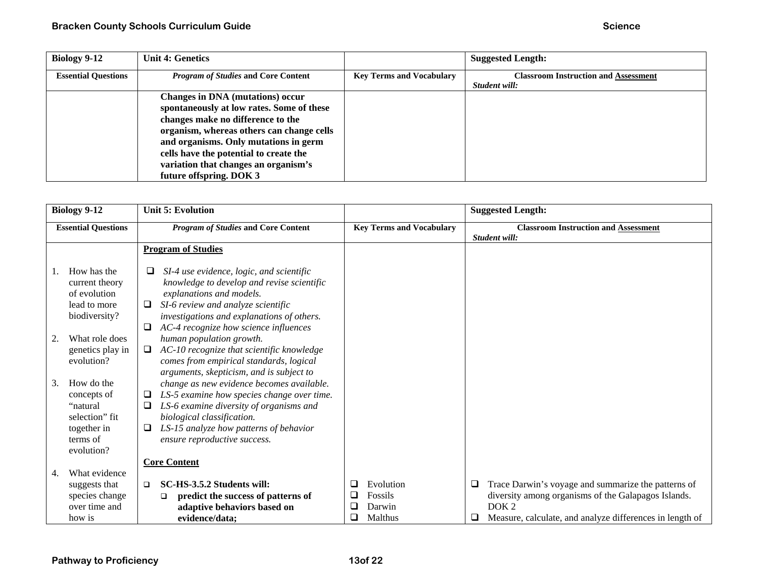| Biology 9-12               | <b>Unit 4: Genetics</b>                                                                                                                                                                                                                                                                                                      |                                 | <b>Suggested Length:</b>                                     |
|----------------------------|------------------------------------------------------------------------------------------------------------------------------------------------------------------------------------------------------------------------------------------------------------------------------------------------------------------------------|---------------------------------|--------------------------------------------------------------|
| <b>Essential Questions</b> | <b>Program of Studies and Core Content</b>                                                                                                                                                                                                                                                                                   | <b>Key Terms and Vocabulary</b> | <b>Classroom Instruction and Assessment</b><br>Student will: |
|                            | <b>Changes in DNA</b> (mutations) occur<br>spontaneously at low rates. Some of these<br>changes make no difference to the<br>organism, whereas others can change cells<br>and organisms. Only mutations in germ<br>cells have the potential to create the<br>variation that changes an organism's<br>future offspring. DOK 3 |                                 |                                                              |

|    | <b>Biology 9-12</b>                                                                              | <b>Unit 5: Evolution</b>                                                                                                                                                                                                                                          |                  |                                           |        | <b>Suggested Length:</b>                                                                                                                                                                   |
|----|--------------------------------------------------------------------------------------------------|-------------------------------------------------------------------------------------------------------------------------------------------------------------------------------------------------------------------------------------------------------------------|------------------|-------------------------------------------|--------|--------------------------------------------------------------------------------------------------------------------------------------------------------------------------------------------|
|    | <b>Essential Questions</b>                                                                       | <b>Program of Studies and Core Content</b>                                                                                                                                                                                                                        |                  | <b>Key Terms and Vocabulary</b>           |        | <b>Classroom Instruction and Assessment</b><br>Student will:                                                                                                                               |
|    |                                                                                                  | <b>Program of Studies</b>                                                                                                                                                                                                                                         |                  |                                           |        |                                                                                                                                                                                            |
|    | How has the<br>current theory<br>of evolution<br>lead to more<br>biodiversity?                   | SI-4 use evidence, logic, and scientific<br>⊔<br>knowledge to develop and revise scientific<br>explanations and models.<br>SI-6 review and analyze scientific<br>investigations and explanations of others.<br>AC-4 recognize how science influences              |                  |                                           |        |                                                                                                                                                                                            |
| 2. | What role does<br>genetics play in<br>evolution?                                                 | human population growth.<br>AC-10 recognize that scientific knowledge<br>□<br>comes from empirical standards, logical<br>arguments, skepticism, and is subject to                                                                                                 |                  |                                           |        |                                                                                                                                                                                            |
| 3. | How do the<br>concepts of<br>"natural<br>selection" fit<br>together in<br>terms of<br>evolution? | change as new evidence becomes available.<br>LS-5 examine how species change over time.<br>LS-6 examine diversity of organisms and<br>biological classification.<br>LS-15 analyze how patterns of behavior<br>ensure reproductive success.<br><b>Core Content</b> |                  |                                           |        |                                                                                                                                                                                            |
| 4. | What evidence<br>suggests that<br>species change<br>over time and<br>how is                      | SC-HS-3.5.2 Students will:<br>□<br>predict the success of patterns of<br>□<br>adaptive behaviors based on<br>evidence/data:                                                                                                                                       | ⊔<br>$\Box$<br>⊔ | Evolution<br>Fossils<br>Darwin<br>Malthus | □<br>u | Trace Darwin's voyage and summarize the patterns of<br>diversity among organisms of the Galapagos Islands.<br>DOK <sub>2</sub><br>Measure, calculate, and analyze differences in length of |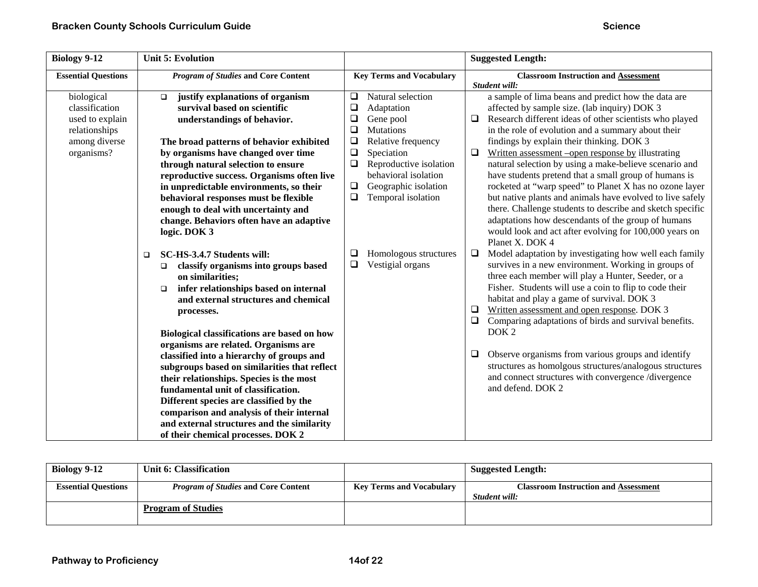| <b>Biology 9-12</b>        | <b>Unit 5: Evolution</b>                        |                                   | <b>Suggested Length:</b>                                          |
|----------------------------|-------------------------------------------------|-----------------------------------|-------------------------------------------------------------------|
| <b>Essential Questions</b> | <b>Program of Studies and Core Content</b>      | <b>Key Terms and Vocabulary</b>   | <b>Classroom Instruction and Assessment</b>                       |
|                            |                                                 |                                   | Student will:                                                     |
| biological                 | justify explanations of organism<br>$\Box$      | Natural selection<br>❏            | a sample of lima beans and predict how the data are               |
| classification             | survival based on scientific                    | $\Box$<br>Adaptation              | affected by sample size. (lab inquiry) DOK 3                      |
| used to explain            | understandings of behavior.                     | $\Box$<br>Gene pool               | Research different ideas of other scientists who played<br>$\Box$ |
| relationships              |                                                 | $\Box$<br><b>Mutations</b>        | in the role of evolution and a summary about their                |
| among diverse              | The broad patterns of behavior exhibited        | $\Box$<br>Relative frequency      | findings by explain their thinking. DOK 3                         |
| organisms?                 | by organisms have changed over time             | $\Box$<br>Speciation              | Written assessment – open response by illustrating<br>❏           |
|                            | through natural selection to ensure             | $\Box$<br>Reproductive isolation  | natural selection by using a make-believe scenario and            |
|                            | reproductive success. Organisms often live      | behavioral isolation              | have students pretend that a small group of humans is             |
|                            | in unpredictable environments, so their         | $\Box$<br>Geographic isolation    | rocketed at "warp speed" to Planet X has no ozone layer           |
|                            | behavioral responses must be flexible           | $\Box$<br>Temporal isolation      | but native plants and animals have evolved to live safely         |
|                            | enough to deal with uncertainty and             |                                   | there. Challenge students to describe and sketch specific         |
|                            | change. Behaviors often have an adaptive        |                                   | adaptations how descendants of the group of humans                |
|                            | logic. DOK 3                                    |                                   | would look and act after evolving for 100,000 years on            |
|                            |                                                 |                                   | Planet X. DOK 4                                                   |
|                            | SC-HS-3.4.7 Students will:<br>$\Box$            | Homologous structures<br>$\sqcup$ | Model adaptation by investigating how well each family<br>$\Box$  |
|                            | classify organisms into groups based<br>$\Box$  | ❏<br>Vestigial organs             | survives in a new environment. Working in groups of               |
|                            | on similarities;                                |                                   | three each member will play a Hunter, Seeder, or a                |
|                            | infer relationships based on internal<br>$\Box$ |                                   | Fisher. Students will use a coin to flip to code their            |
|                            | and external structures and chemical            |                                   | habitat and play a game of survival. DOK 3                        |
|                            | processes.                                      |                                   | Written assessment and open response. DOK 3<br>$\Box$             |
|                            |                                                 |                                   | $\Box$<br>Comparing adaptations of birds and survival benefits.   |
|                            | Biological classifications are based on how     |                                   | DOK <sub>2</sub>                                                  |
|                            | organisms are related. Organisms are            |                                   |                                                                   |
|                            | classified into a hierarchy of groups and       |                                   | Observe organisms from various groups and identify<br>$\Box$      |
|                            | subgroups based on similarities that reflect    |                                   | structures as homolgous structures/analogous structures           |
|                            | their relationships. Species is the most        |                                   | and connect structures with convergence /divergence               |
|                            | fundamental unit of classification.             |                                   | and defend. DOK 2                                                 |
|                            | Different species are classified by the         |                                   |                                                                   |
|                            | comparison and analysis of their internal       |                                   |                                                                   |
|                            | and external structures and the similarity      |                                   |                                                                   |
|                            | of their chemical processes. DOK 2              |                                   |                                                                   |

| Biology 9-12               | Unit 6: Classification                     |                                 | <b>Suggested Length:</b>                                     |
|----------------------------|--------------------------------------------|---------------------------------|--------------------------------------------------------------|
| <b>Essential Questions</b> | <i>Program of Studies</i> and Core Content | <b>Key Terms and Vocabulary</b> | <b>Classroom Instruction and Assessment</b><br>Student will: |
|                            | <b>Program of Studies</b>                  |                                 |                                                              |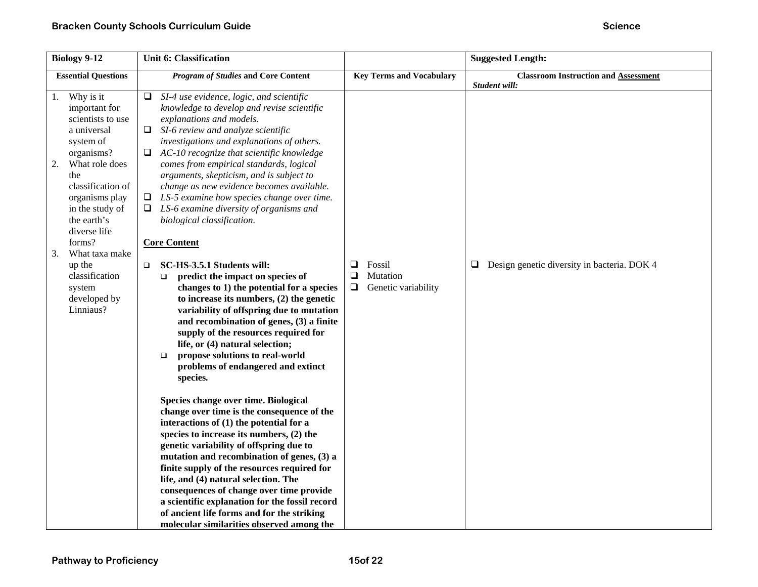| <b>Biology 9-12</b>                                                                                                                                                                                                                                                                                                          | <b>Unit 6: Classification</b>                                                                                                                                                                                                                                                                                                                                                                                                                                                                                                                                                                                                                                                                                                                                                                                                                                                                                                                                                                                                                                                                                                                                                                                                                                                                                                                                                                                                                                                                                                                                                     |                                                          | <b>Suggested Length:</b>                                     |
|------------------------------------------------------------------------------------------------------------------------------------------------------------------------------------------------------------------------------------------------------------------------------------------------------------------------------|-----------------------------------------------------------------------------------------------------------------------------------------------------------------------------------------------------------------------------------------------------------------------------------------------------------------------------------------------------------------------------------------------------------------------------------------------------------------------------------------------------------------------------------------------------------------------------------------------------------------------------------------------------------------------------------------------------------------------------------------------------------------------------------------------------------------------------------------------------------------------------------------------------------------------------------------------------------------------------------------------------------------------------------------------------------------------------------------------------------------------------------------------------------------------------------------------------------------------------------------------------------------------------------------------------------------------------------------------------------------------------------------------------------------------------------------------------------------------------------------------------------------------------------------------------------------------------------|----------------------------------------------------------|--------------------------------------------------------------|
| <b>Essential Questions</b>                                                                                                                                                                                                                                                                                                   | <b>Program of Studies and Core Content</b>                                                                                                                                                                                                                                                                                                                                                                                                                                                                                                                                                                                                                                                                                                                                                                                                                                                                                                                                                                                                                                                                                                                                                                                                                                                                                                                                                                                                                                                                                                                                        | <b>Key Terms and Vocabulary</b>                          | <b>Classroom Instruction and Assessment</b><br>Student will: |
| Why is it<br>1.<br>important for<br>scientists to use<br>a universal<br>system of<br>organisms?<br>What role does<br>2.<br>the<br>classification of<br>organisms play<br>in the study of<br>the earth's<br>diverse life<br>forms?<br>3.<br>What taxa make<br>up the<br>classification<br>system<br>developed by<br>Linniaus? | SI-4 use evidence, logic, and scientific<br>$\Box$<br>knowledge to develop and revise scientific<br>explanations and models.<br>$\Box$<br>SI-6 review and analyze scientific<br>investigations and explanations of others.<br>AC-10 recognize that scientific knowledge<br>□<br>comes from empirical standards, logical<br>arguments, skepticism, and is subject to<br>change as new evidence becomes available.<br>LS-5 examine how species change over time.<br>⊔<br>LS-6 examine diversity of organisms and<br>□<br>biological classification.<br><b>Core Content</b><br>SC-HS-3.5.1 Students will:<br>$\Box$<br>predict the impact on species of<br>$\Box$<br>changes to 1) the potential for a species<br>to increase its numbers, $(2)$ the genetic<br>variability of offspring due to mutation<br>and recombination of genes, (3) a finite<br>supply of the resources required for<br>life, or (4) natural selection;<br>propose solutions to real-world<br>$\Box$<br>problems of endangered and extinct<br>species.<br>Species change over time. Biological<br>change over time is the consequence of the<br>interactions of (1) the potential for a<br>species to increase its numbers, (2) the<br>genetic variability of offspring due to<br>mutation and recombination of genes, (3) a<br>finite supply of the resources required for<br>life, and (4) natural selection. The<br>consequences of change over time provide<br>a scientific explanation for the fossil record<br>of ancient life forms and for the striking<br>molecular similarities observed among the | ❏<br>Fossil<br>❏<br>Mutation<br>Genetic variability<br>❏ | $\Box$ Design genetic diversity in bacteria. DOK 4           |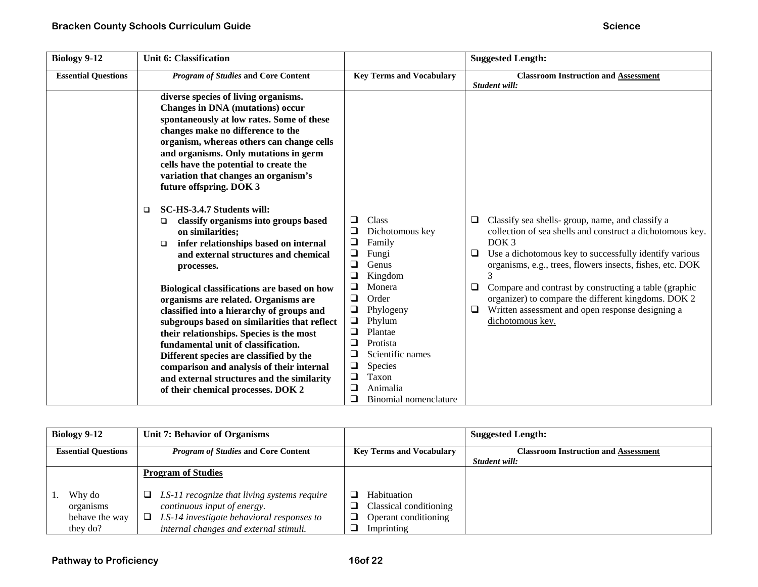| <b>Biology 9-12</b>        | <b>Unit 6: Classification</b>                                                                                                                                                                                                                                                                                                                                                                                                                   |                                                                                                                                                                                                                  | <b>Suggested Length:</b>                                                                                                                                                                                                                                                          |
|----------------------------|-------------------------------------------------------------------------------------------------------------------------------------------------------------------------------------------------------------------------------------------------------------------------------------------------------------------------------------------------------------------------------------------------------------------------------------------------|------------------------------------------------------------------------------------------------------------------------------------------------------------------------------------------------------------------|-----------------------------------------------------------------------------------------------------------------------------------------------------------------------------------------------------------------------------------------------------------------------------------|
| <b>Essential Questions</b> | <b>Program of Studies and Core Content</b>                                                                                                                                                                                                                                                                                                                                                                                                      | <b>Key Terms and Vocabulary</b>                                                                                                                                                                                  | <b>Classroom Instruction and Assessment</b><br>Student will:                                                                                                                                                                                                                      |
|                            | diverse species of living organisms.<br><b>Changes in DNA</b> (mutations) occur<br>spontaneously at low rates. Some of these<br>changes make no difference to the<br>organism, whereas others can change cells<br>and organisms. Only mutations in germ<br>cells have the potential to create the<br>variation that changes an organism's<br>future offspring. DOK 3                                                                            |                                                                                                                                                                                                                  |                                                                                                                                                                                                                                                                                   |
|                            | SC-HS-3.4.7 Students will:<br>$\Box$<br>classify organisms into groups based<br>❏<br>on similarities;<br>infer relationships based on internal<br>□<br>and external structures and chemical<br>processes.                                                                                                                                                                                                                                       | ❏<br>Class<br>❏<br>Dichotomous key<br>$\Box$<br>Family<br>$\Box$<br>Fungi<br>$\Box$<br>Genus<br>$\Box$<br>Kingdom                                                                                                | Classify sea shells- group, name, and classify a<br>$\Box$<br>collection of sea shells and construct a dichotomous key.<br>DOK <sub>3</sub><br>Use a dichotomous key to successfully identify various<br>$\Box$<br>organisms, e.g., trees, flowers insects, fishes, etc. DOK<br>3 |
|                            | Biological classifications are based on how<br>organisms are related. Organisms are<br>classified into a hierarchy of groups and<br>subgroups based on similarities that reflect<br>their relationships. Species is the most<br>fundamental unit of classification.<br>Different species are classified by the<br>comparison and analysis of their internal<br>and external structures and the similarity<br>of their chemical processes. DOK 2 | $\Box$<br>Monera<br>❏<br>Order<br>Phylogeny<br>⊔<br>$\Box$<br>Phylum<br>❏<br>Plantae<br>❏<br>Protista<br>❏<br>Scientific names<br>Species<br>❏<br>$\Box$<br>Taxon<br>❏<br>Animalia<br>❏<br>Binomial nomenclature | Compare and contrast by constructing a table (graphic<br>❏<br>organizer) to compare the different kingdoms. DOK 2<br>Written assessment and open response designing a<br>$\Box$<br>dichotomous key.                                                                               |

| <b>Biology 9-12</b>                               | Unit 7: Behavior of Organisms                                                                                                                                     |                                                                             | <b>Suggested Length:</b>                    |
|---------------------------------------------------|-------------------------------------------------------------------------------------------------------------------------------------------------------------------|-----------------------------------------------------------------------------|---------------------------------------------|
| <b>Essential Questions</b>                        | <b>Program of Studies and Core Content</b>                                                                                                                        | <b>Key Terms and Vocabulary</b>                                             | <b>Classroom Instruction and Assessment</b> |
|                                                   |                                                                                                                                                                   |                                                                             | Student will:                               |
|                                                   | <b>Program of Studies</b>                                                                                                                                         |                                                                             |                                             |
| Why do<br>organisms<br>behave the way<br>they do? | LS-11 recognize that living systems require<br>continuous input of energy.<br>LS-14 investigate behavioral responses to<br>internal changes and external stimuli. | Habituation<br>Classical conditioning<br>Operant conditioning<br>Imprinting |                                             |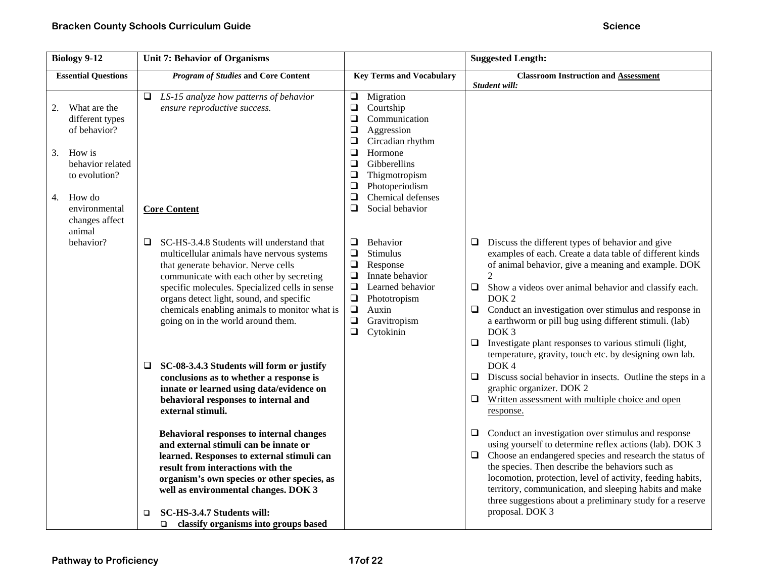| <b>Biology 9-12</b>                                                                                                                                                                  | <b>Unit 7: Behavior of Organisms</b>                                                                                                                                                                                                                                                                               |                                                                                                                                                                                                                                                                                                           | <b>Suggested Length:</b>                                                                                                                                                                                                                                                                                                                                                                                                                                                                    |
|--------------------------------------------------------------------------------------------------------------------------------------------------------------------------------------|--------------------------------------------------------------------------------------------------------------------------------------------------------------------------------------------------------------------------------------------------------------------------------------------------------------------|-----------------------------------------------------------------------------------------------------------------------------------------------------------------------------------------------------------------------------------------------------------------------------------------------------------|---------------------------------------------------------------------------------------------------------------------------------------------------------------------------------------------------------------------------------------------------------------------------------------------------------------------------------------------------------------------------------------------------------------------------------------------------------------------------------------------|
| <b>Essential Questions</b>                                                                                                                                                           | <b>Program of Studies and Core Content</b>                                                                                                                                                                                                                                                                         | <b>Key Terms and Vocabulary</b>                                                                                                                                                                                                                                                                           | <b>Classroom Instruction and Assessment</b>                                                                                                                                                                                                                                                                                                                                                                                                                                                 |
| What are the<br>2.<br>different types<br>of behavior?<br>3.<br>How is<br>behavior related<br>to evolution?<br>How do<br>4.<br>environmental<br>changes affect<br>animal<br>behavior? | $\Box$ LS-15 analyze how patterns of behavior<br>ensure reproductive success.<br><b>Core Content</b><br>SC-HS-3.4.8 Students will understand that<br>$\Box$                                                                                                                                                        | $\Box$<br>Migration<br>$\Box$<br>Courtship<br>$\Box$<br>Communication<br>$\Box$<br>Aggression<br>$\Box$<br>Circadian rhythm<br>Hormone<br>❏<br>$\Box$<br>Gibberellins<br>$\Box$<br>Thigmotropism<br>$\Box$<br>Photoperiodism<br>Chemical defenses<br>❏<br>$\Box$<br>Social behavior<br>$\Box$<br>Behavior | Student will:<br>$\Box$ Discuss the different types of behavior and give                                                                                                                                                                                                                                                                                                                                                                                                                    |
|                                                                                                                                                                                      | multicellular animals have nervous systems<br>that generate behavior. Nerve cells<br>communicate with each other by secreting<br>specific molecules. Specialized cells in sense<br>organs detect light, sound, and specific<br>chemicals enabling animals to monitor what is<br>going on in the world around them. | $\Box$<br>Stimulus<br>$\Box$<br>Response<br>$\Box$<br>Innate behavior<br>$\Box$<br>Learned behavior<br>$\Box$<br>Phototropism<br>$\Box$<br>Auxin<br>$\Box$<br>Gravitropism<br>$\Box$<br>Cytokinin                                                                                                         | examples of each. Create a data table of different kinds<br>of animal behavior, give a meaning and example. DOK<br>2<br>$\Box$<br>Show a videos over animal behavior and classify each.<br>DOK <sub>2</sub><br>$\Box$<br>Conduct an investigation over stimulus and response in<br>a earthworm or pill bug using different stimuli. (lab)<br>DOK <sub>3</sub><br>$\Box$<br>Investigate plant responses to various stimuli (light,<br>temperature, gravity, touch etc. by designing own lab. |
|                                                                                                                                                                                      | SC-08-3.4.3 Students will form or justify<br>⊔<br>conclusions as to whether a response is<br>innate or learned using data/evidence on<br>behavioral responses to internal and<br>external stimuli.<br>Behavioral responses to internal changes<br>and external stimuli can be innate or                            |                                                                                                                                                                                                                                                                                                           | DOK <sub>4</sub><br>$\Box$<br>Discuss social behavior in insects. Outline the steps in a<br>graphic organizer. DOK 2<br>$\Box$ Written assessment with multiple choice and open<br>response.<br>$\Box$ Conduct an investigation over stimulus and response<br>using yourself to determine reflex actions (lab). DOK 3                                                                                                                                                                       |
|                                                                                                                                                                                      | learned. Responses to external stimuli can<br>result from interactions with the<br>organism's own species or other species, as<br>well as environmental changes. DOK 3<br>SC-HS-3.4.7 Students will:<br>$\Box$<br>classify organisms into groups based<br>$\Box$                                                   |                                                                                                                                                                                                                                                                                                           | $\Box$ Choose an endangered species and research the status of<br>the species. Then describe the behaviors such as<br>locomotion, protection, level of activity, feeding habits,<br>territory, communication, and sleeping habits and make<br>three suggestions about a preliminary study for a reserve<br>proposal. DOK 3                                                                                                                                                                  |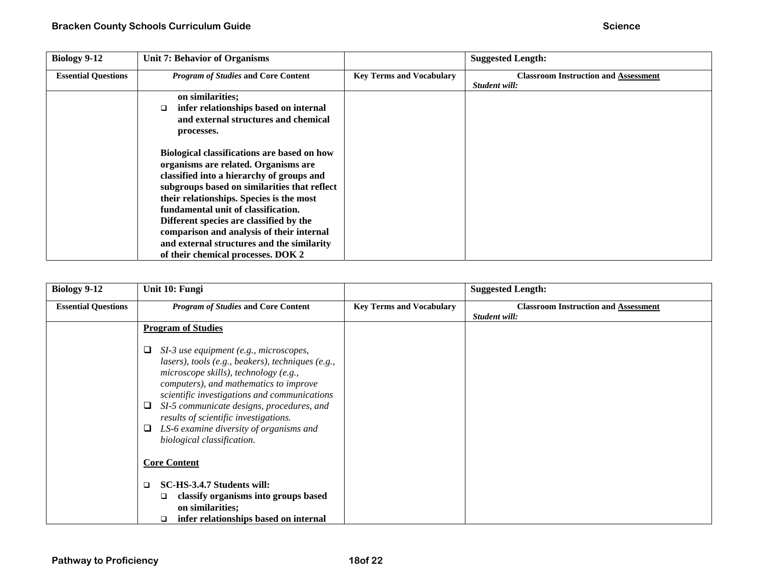| Biology 9-12               | Unit 7: Behavior of Organisms                |                                 | <b>Suggested Length:</b>                    |
|----------------------------|----------------------------------------------|---------------------------------|---------------------------------------------|
| <b>Essential Questions</b> | <b>Program of Studies and Core Content</b>   | <b>Key Terms and Vocabulary</b> | <b>Classroom Instruction and Assessment</b> |
|                            |                                              |                                 | Student will:                               |
|                            | on similarities;                             |                                 |                                             |
|                            | infer relationships based on internal<br>□   |                                 |                                             |
|                            | and external structures and chemical         |                                 |                                             |
|                            | processes.                                   |                                 |                                             |
|                            |                                              |                                 |                                             |
|                            | Biological classifications are based on how  |                                 |                                             |
|                            | organisms are related. Organisms are         |                                 |                                             |
|                            | classified into a hierarchy of groups and    |                                 |                                             |
|                            | subgroups based on similarities that reflect |                                 |                                             |
|                            | their relationships. Species is the most     |                                 |                                             |
|                            | fundamental unit of classification.          |                                 |                                             |
|                            | Different species are classified by the      |                                 |                                             |
|                            | comparison and analysis of their internal    |                                 |                                             |
|                            | and external structures and the similarity   |                                 |                                             |
|                            | of their chemical processes. DOK 2           |                                 |                                             |

| <b>Biology 9-12</b>        | Unit 10: Fungi                                                                                                                                                                                                                                                                                                                                                                                |                                 | <b>Suggested Length:</b>                                     |
|----------------------------|-----------------------------------------------------------------------------------------------------------------------------------------------------------------------------------------------------------------------------------------------------------------------------------------------------------------------------------------------------------------------------------------------|---------------------------------|--------------------------------------------------------------|
| <b>Essential Questions</b> | <b>Program of Studies and Core Content</b>                                                                                                                                                                                                                                                                                                                                                    | <b>Key Terms and Vocabulary</b> | <b>Classroom Instruction and Assessment</b><br>Student will: |
|                            | <b>Program of Studies</b>                                                                                                                                                                                                                                                                                                                                                                     |                                 |                                                              |
|                            | SI-3 use equipment (e.g., microscopes,<br>lasers), tools (e.g., beakers), techniques (e.g.,<br>microscope skills), technology (e.g.,<br>computers), and mathematics to improve<br>scientific investigations and communications<br>SI-5 communicate designs, procedures, and<br>results of scientific investigations.<br>LS-6 examine diversity of organisms and<br>biological classification. |                                 |                                                              |
|                            | <b>Core Content</b>                                                                                                                                                                                                                                                                                                                                                                           |                                 |                                                              |
|                            | SC-HS-3.4.7 Students will:<br>$\Box$<br>classify organisms into groups based<br>❏<br>on similarities;<br>infer relationships based on internal<br>□                                                                                                                                                                                                                                           |                                 |                                                              |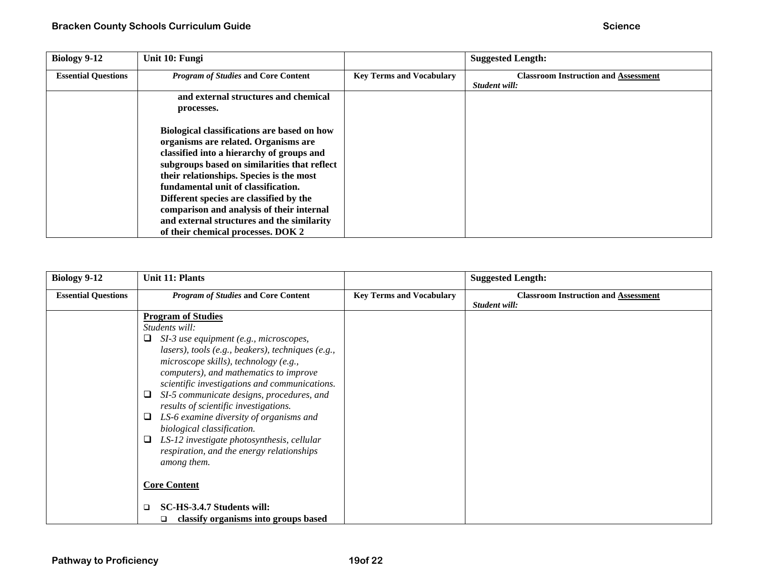| <b>Biology 9-12</b>        | Unit 10: Fungi                                                                                                                                                                                                                                                      |                                 | <b>Suggested Length:</b>                                     |
|----------------------------|---------------------------------------------------------------------------------------------------------------------------------------------------------------------------------------------------------------------------------------------------------------------|---------------------------------|--------------------------------------------------------------|
| <b>Essential Questions</b> | <b>Program of Studies and Core Content</b>                                                                                                                                                                                                                          | <b>Key Terms and Vocabulary</b> | <b>Classroom Instruction and Assessment</b><br>Student will: |
|                            | and external structures and chemical                                                                                                                                                                                                                                |                                 |                                                              |
|                            | processes.                                                                                                                                                                                                                                                          |                                 |                                                              |
|                            | Biological classifications are based on how<br>organisms are related. Organisms are<br>classified into a hierarchy of groups and<br>subgroups based on similarities that reflect<br>their relationships. Species is the most<br>fundamental unit of classification. |                                 |                                                              |
|                            | Different species are classified by the<br>comparison and analysis of their internal                                                                                                                                                                                |                                 |                                                              |
|                            | and external structures and the similarity                                                                                                                                                                                                                          |                                 |                                                              |
|                            | of their chemical processes. DOK 2                                                                                                                                                                                                                                  |                                 |                                                              |

| <b>Biology 9-12</b>        | Unit 11: Plants                                                                                                                                                                                                                                                                                                                                                                                                                                                                                                                                              |                                 | <b>Suggested Length:</b>                                     |
|----------------------------|--------------------------------------------------------------------------------------------------------------------------------------------------------------------------------------------------------------------------------------------------------------------------------------------------------------------------------------------------------------------------------------------------------------------------------------------------------------------------------------------------------------------------------------------------------------|---------------------------------|--------------------------------------------------------------|
| <b>Essential Questions</b> | <b>Program of Studies and Core Content</b>                                                                                                                                                                                                                                                                                                                                                                                                                                                                                                                   | <b>Key Terms and Vocabulary</b> | <b>Classroom Instruction and Assessment</b><br>Student will: |
|                            | <b>Program of Studies</b><br>Students will:<br>SI-3 use equipment (e.g., microscopes,<br>⊔<br>lasers), tools (e.g., beakers), techniques (e.g.,<br>microscope skills), technology (e.g.,<br>computers), and mathematics to improve<br>scientific investigations and communications.<br>SI-5 communicate designs, procedures, and<br>⊔<br>results of scientific investigations.<br>LS-6 examine diversity of organisms and<br>⊔<br>biological classification.<br>LS-12 investigate photosynthesis, cellular<br>⊔<br>respiration, and the energy relationships |                                 |                                                              |
|                            | among them.<br><b>Core Content</b><br>SC-HS-3.4.7 Students will:<br>□<br>classify organisms into groups based<br>□                                                                                                                                                                                                                                                                                                                                                                                                                                           |                                 |                                                              |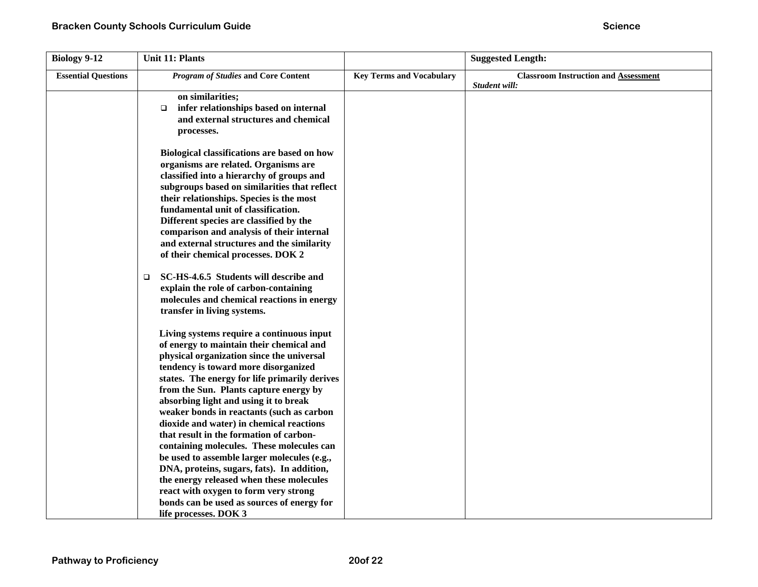| <b>Biology 9-12</b>        | <b>Unit 11: Plants</b>                                                                   |                                 | <b>Suggested Length:</b>                    |
|----------------------------|------------------------------------------------------------------------------------------|---------------------------------|---------------------------------------------|
| <b>Essential Questions</b> | <b>Program of Studies and Core Content</b>                                               | <b>Key Terms and Vocabulary</b> | <b>Classroom Instruction and Assessment</b> |
|                            |                                                                                          |                                 | Student will:                               |
|                            | on similarities;<br>infer relationships based on internal                                |                                 |                                             |
|                            | $\Box$<br>and external structures and chemical                                           |                                 |                                             |
|                            | processes.                                                                               |                                 |                                             |
|                            |                                                                                          |                                 |                                             |
|                            | Biological classifications are based on how                                              |                                 |                                             |
|                            | organisms are related. Organisms are                                                     |                                 |                                             |
|                            | classified into a hierarchy of groups and                                                |                                 |                                             |
|                            | subgroups based on similarities that reflect                                             |                                 |                                             |
|                            | their relationships. Species is the most                                                 |                                 |                                             |
|                            | fundamental unit of classification.                                                      |                                 |                                             |
|                            | Different species are classified by the                                                  |                                 |                                             |
|                            | comparison and analysis of their internal                                                |                                 |                                             |
|                            | and external structures and the similarity                                               |                                 |                                             |
|                            | of their chemical processes. DOK 2                                                       |                                 |                                             |
|                            | SC-HS-4.6.5 Students will describe and<br>$\Box$                                         |                                 |                                             |
|                            | explain the role of carbon-containing                                                    |                                 |                                             |
|                            | molecules and chemical reactions in energy                                               |                                 |                                             |
|                            | transfer in living systems.                                                              |                                 |                                             |
|                            | Living systems require a continuous input                                                |                                 |                                             |
|                            | of energy to maintain their chemical and                                                 |                                 |                                             |
|                            | physical organization since the universal                                                |                                 |                                             |
|                            | tendency is toward more disorganized                                                     |                                 |                                             |
|                            | states. The energy for life primarily derives                                            |                                 |                                             |
|                            | from the Sun. Plants capture energy by                                                   |                                 |                                             |
|                            | absorbing light and using it to break                                                    |                                 |                                             |
|                            | weaker bonds in reactants (such as carbon                                                |                                 |                                             |
|                            | dioxide and water) in chemical reactions                                                 |                                 |                                             |
|                            | that result in the formation of carbon-                                                  |                                 |                                             |
|                            | containing molecules. These molecules can<br>be used to assemble larger molecules (e.g., |                                 |                                             |
|                            | DNA, proteins, sugars, fats). In addition,                                               |                                 |                                             |
|                            | the energy released when these molecules                                                 |                                 |                                             |
|                            | react with oxygen to form very strong                                                    |                                 |                                             |
|                            | bonds can be used as sources of energy for                                               |                                 |                                             |
|                            | life processes. DOK 3                                                                    |                                 |                                             |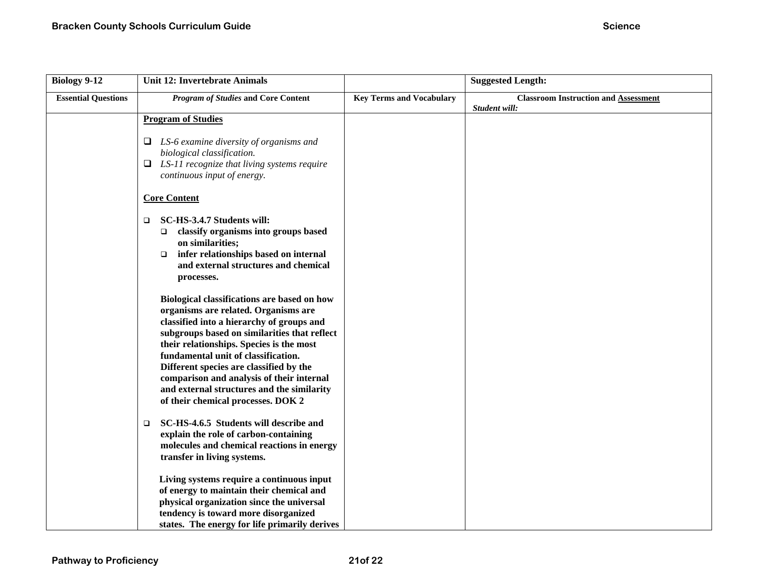| <b>Biology 9-12</b>        | <b>Unit 12: Invertebrate Animals</b>                                                                                                                                                                                                                                                                                                                                                                                                            |                                 | <b>Suggested Length:</b>                                     |
|----------------------------|-------------------------------------------------------------------------------------------------------------------------------------------------------------------------------------------------------------------------------------------------------------------------------------------------------------------------------------------------------------------------------------------------------------------------------------------------|---------------------------------|--------------------------------------------------------------|
| <b>Essential Questions</b> | <b>Program of Studies and Core Content</b>                                                                                                                                                                                                                                                                                                                                                                                                      | <b>Key Terms and Vocabulary</b> | <b>Classroom Instruction and Assessment</b><br>Student will: |
|                            | <b>Program of Studies</b>                                                                                                                                                                                                                                                                                                                                                                                                                       |                                 |                                                              |
|                            | $\Box$ LS-6 examine diversity of organisms and<br>biological classification.<br>$\Box$ LS-11 recognize that living systems require<br>continuous input of energy.                                                                                                                                                                                                                                                                               |                                 |                                                              |
|                            | <b>Core Content</b>                                                                                                                                                                                                                                                                                                                                                                                                                             |                                 |                                                              |
|                            | SC-HS-3.4.7 Students will:<br>□<br>classify organisms into groups based<br>□<br>on similarities;<br>infer relationships based on internal<br>$\Box$<br>and external structures and chemical<br>processes.                                                                                                                                                                                                                                       |                                 |                                                              |
|                            | Biological classifications are based on how<br>organisms are related. Organisms are<br>classified into a hierarchy of groups and<br>subgroups based on similarities that reflect<br>their relationships. Species is the most<br>fundamental unit of classification.<br>Different species are classified by the<br>comparison and analysis of their internal<br>and external structures and the similarity<br>of their chemical processes. DOK 2 |                                 |                                                              |
|                            | SC-HS-4.6.5 Students will describe and<br>$\Box$<br>explain the role of carbon-containing<br>molecules and chemical reactions in energy<br>transfer in living systems.                                                                                                                                                                                                                                                                          |                                 |                                                              |
|                            | Living systems require a continuous input<br>of energy to maintain their chemical and<br>physical organization since the universal<br>tendency is toward more disorganized<br>states. The energy for life primarily derives                                                                                                                                                                                                                     |                                 |                                                              |